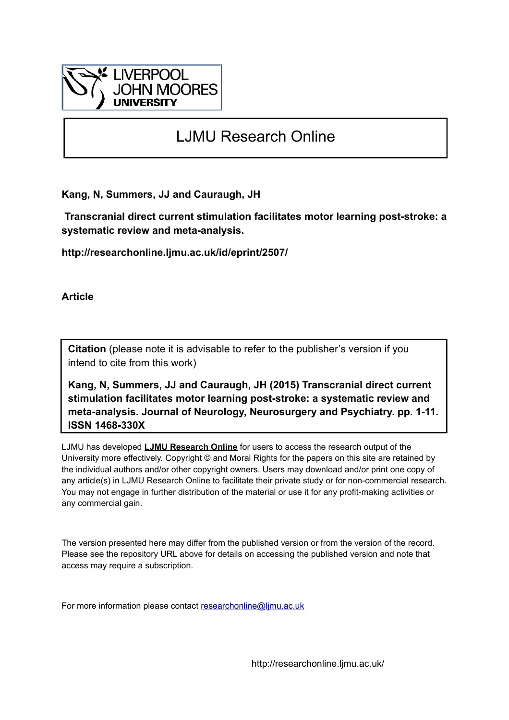

## LJMU Research Online

**Kang, N, Summers, JJ and Cauraugh, JH**

 **Transcranial direct current stimulation facilitates motor learning post-stroke: a systematic review and meta-analysis.**

**http://researchonline.ljmu.ac.uk/id/eprint/2507/**

**Article**

**Citation** (please note it is advisable to refer to the publisher's version if you intend to cite from this work)

**Kang, N, Summers, JJ and Cauraugh, JH (2015) Transcranial direct current stimulation facilitates motor learning post-stroke: a systematic review and meta-analysis. Journal of Neurology, Neurosurgery and Psychiatry. pp. 1-11. ISSN 1468-330X** 

LJMU has developed **[LJMU Research Online](http://researchonline.ljmu.ac.uk/)** for users to access the research output of the University more effectively. Copyright © and Moral Rights for the papers on this site are retained by the individual authors and/or other copyright owners. Users may download and/or print one copy of any article(s) in LJMU Research Online to facilitate their private study or for non-commercial research. You may not engage in further distribution of the material or use it for any profit-making activities or any commercial gain.

The version presented here may differ from the published version or from the version of the record. Please see the repository URL above for details on accessing the published version and note that access may require a subscription.

For more information please contact [researchonline@ljmu.ac.uk](mailto:researchonline@ljmu.ac.uk)

http://researchonline.ljmu.ac.uk/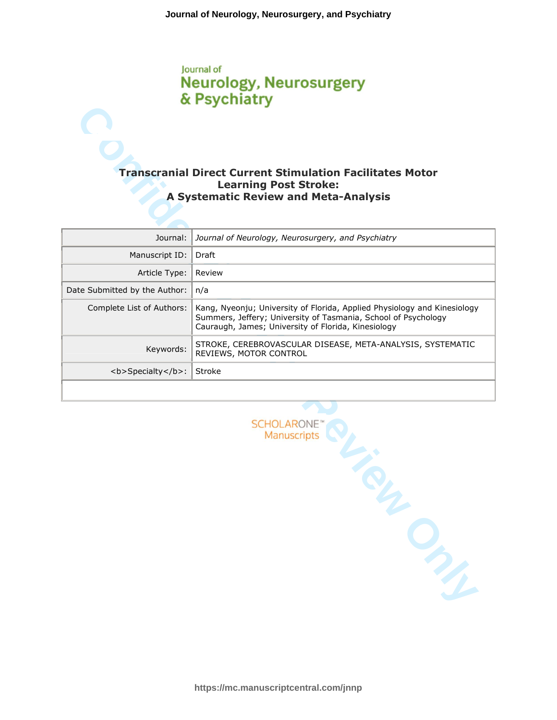# lournal of **Neurology, Neurosurgery**

## **Learning Post Stroke: A Systematic Review and Meta-Analysis**

|                               | & Psychiatry                                                                                                                                                                                      |
|-------------------------------|---------------------------------------------------------------------------------------------------------------------------------------------------------------------------------------------------|
|                               |                                                                                                                                                                                                   |
|                               | <b>Transcranial Direct Current Stimulation Facilitates Motor</b><br><b>Learning Post Stroke:</b>                                                                                                  |
|                               | <b>A Systematic Review and Meta-Analysis</b>                                                                                                                                                      |
| Journal:                      | Journal of Neurology, Neurosurgery, and Psychiatry                                                                                                                                                |
| Manuscript ID:                | Draft                                                                                                                                                                                             |
| Article Type:                 | Review                                                                                                                                                                                            |
| Date Submitted by the Author: | n/a                                                                                                                                                                                               |
| Complete List of Authors:     | Kang, Nyeonju; University of Florida, Applied Physiology and Kinesiology<br>Summers, Jeffery; University of Tasmania, School of Psychology<br>Cauraugh, James; University of Florida, Kinesiology |
| Keywords:                     | STROKE, CEREBROVASCULAR DISEASE, META-ANALYSIS, SYSTEMATIC<br>REVIEWS, MOTOR CONTROL                                                                                                              |
| <b>Specialty</b> :            | Stroke                                                                                                                                                                                            |
|                               |                                                                                                                                                                                                   |
|                               | <b>SCHOLARONE</b><br>Manuscripts                                                                                                                                                                  |
|                               |                                                                                                                                                                                                   |
|                               | ONL                                                                                                                                                                                               |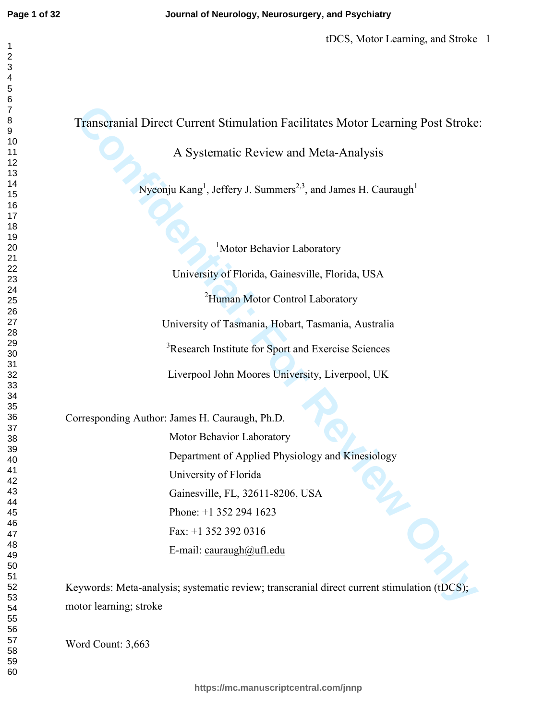|                        | A Systematic Review and Meta-Analysis                                                              |
|------------------------|----------------------------------------------------------------------------------------------------|
|                        | Nyeonju Kang <sup>1</sup> , Jeffery J. Summers <sup>2,3</sup> , and James H. Cauraugh <sup>1</sup> |
|                        |                                                                                                    |
|                        |                                                                                                    |
|                        | <sup>1</sup> Motor Behavior Laboratory                                                             |
|                        | University of Florida, Gainesville, Florida, USA                                                   |
|                        | <sup>2</sup> Human Motor Control Laboratory                                                        |
|                        | University of Tasmania, Hobart, Tasmania, Australia                                                |
|                        | <sup>3</sup> Research Institute for Sport and Exercise Sciences                                    |
|                        | Liverpool John Moores University, Liverpool, UK                                                    |
|                        | Corresponding Author: James H. Cauraugh, Ph.D.                                                     |
|                        | Motor Behavior Laboratory                                                                          |
|                        | Department of Applied Physiology and Kinesiology                                                   |
|                        | University of Florida                                                                              |
|                        | Gainesville, FL, 32611-8206, USA                                                                   |
|                        | Phone: $+1$ 352 294 1623                                                                           |
|                        | Fax: +1 352 392 0316                                                                               |
|                        | E-mail: cauraugh@ufl.edu                                                                           |
|                        | Keywords: Meta-analysis; systematic review; transcranial direct current stimulation (tDCS);        |
| motor learning; stroke |                                                                                                    |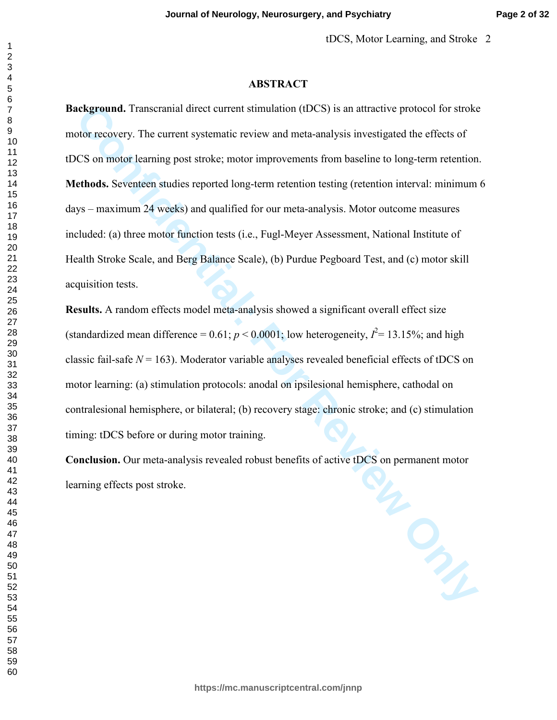#### **ABSTRACT**

**Confidential:** Transcriminal direct current stimulation (IDCS) is an attractive protocol for stroke foot recovery. The current systematic review and meta-analysis investigated the effects of CS on motor learning post stro **Background.** Transcranial direct current stimulation (tDCS) is an attractive protocol for stroke motor recovery. The current systematic review and meta-analysis investigated the effects of tDCS on motor learning post stroke; motor improvements from baseline to long-term retention. **Methods.** Seventeen studies reported long-term retention testing (retention interval: minimum 6 days – maximum 24 weeks) and qualified for our meta-analysis. Motor outcome measures included: (a) three motor function tests (i.e., Fugl-Meyer Assessment, National Institute of Health Stroke Scale, and Berg Balance Scale), (b) Purdue Pegboard Test, and (c) motor skill acquisition tests.

**Results.** A random effects model meta-analysis showed a significant overall effect size (standardized mean difference =  $0.61$ ;  $p < 0.0001$ ; low heterogeneity,  $I^2 = 13.15\%$ ; and high classic fail-safe  $N = 163$ ). Moderator variable analyses revealed beneficial effects of tDCS on motor learning: (a) stimulation protocols: anodal on ipsilesional hemisphere, cathodal on contralesional hemisphere, or bilateral; (b) recovery stage: chronic stroke; and (c) stimulation timing: tDCS before or during motor training.

**Conclusion.** Our meta-analysis revealed robust benefits of active tDCS on permanent motor learning effects post stroke.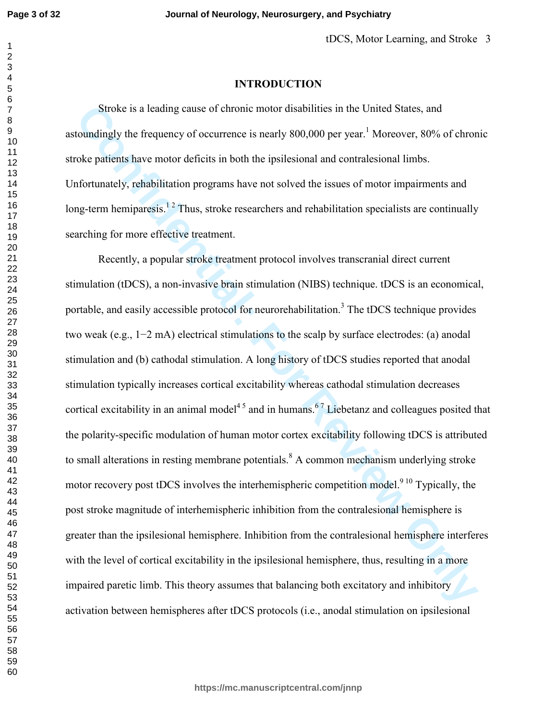#### 

 

#### **INTRODUCTION**

Stroke is a leading cause of chronic motor disabilities in the United States, and astoundingly the frequency of occurrence is nearly 800,000 per year.<sup>1</sup> Moreover, 80% of chronic stroke patients have motor deficits in both the ipsilesional and contralesional limbs. Unfortunately, rehabilitation programs have not solved the issues of motor impairments and long-term hemiparesis.<sup>12</sup> Thus, stroke researchers and rehabilitation specialists are continually searching for more effective treatment.

Stroke is a leading cause of chronic motor disabilities in the United States, and<br>countingly the frequency of occurrence is nearly 800,000 per year.<sup>1</sup> Moreover, 80% of chron<br>oke patients have motor deficits in both the i Recently, a popular stroke treatment protocol involves transcranial direct current stimulation (tDCS), a non-invasive brain stimulation (NIBS) technique. tDCS is an economical, portable, and easily accessible protocol for neurorehabilitation.<sup>3</sup> The tDCS technique provides two weak (e.g., 1−2 mA) electrical stimulations to the scalp by surface electrodes: (a) anodal stimulation and (b) cathodal stimulation. A long history of tDCS studies reported that anodal stimulation typically increases cortical excitability whereas cathodal stimulation decreases cortical excitability in an animal model<sup>45</sup> and in humans.<sup>67</sup> Liebetanz and colleagues posited that the polarity-specific modulation of human motor cortex excitability following tDCS is attributed to small alterations in resting membrane potentials. <sup>8</sup> A common mechanism underlying stroke motor recovery post tDCS involves the interhemispheric competition model.<sup>9 10</sup> Typically, the post stroke magnitude of interhemispheric inhibition from the contralesional hemisphere is greater than the ipsilesional hemisphere. Inhibition from the contralesional hemisphere interferes with the level of cortical excitability in the ipsilesional hemisphere, thus, resulting in a more impaired paretic limb. This theory assumes that balancing both excitatory and inhibitory activation between hemispheres after tDCS protocols (i.e., anodal stimulation on ipsilesional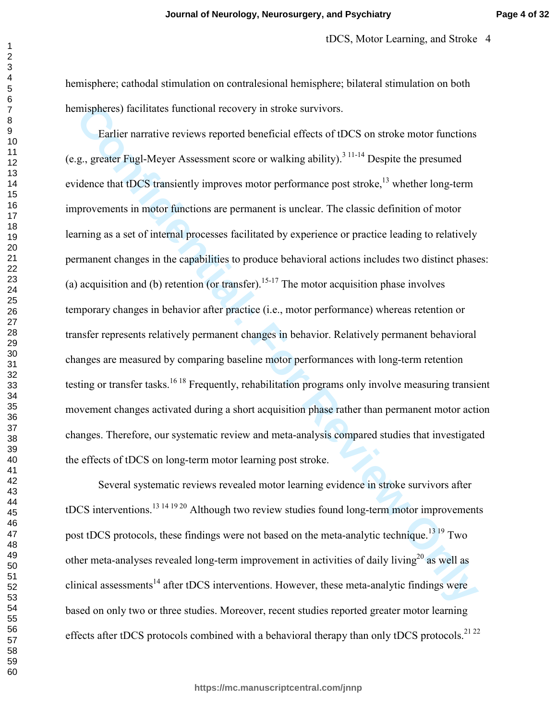tDCS, Motor Learning, and Stroke 4

hemisphere; cathodal stimulation on contralesional hemisphere; bilateral stimulation on both hemispheres) facilitates functional recovery in stroke survivors.

mispheres) facilitates functional recovery in stroke survivors.<br>
Earlier narrative reviews reported beneficial effects of tDCS on stroke motor functions<br>
g, greater Fugl-Meyer Assessment score or walking ability)<sup>311-11</sup> D Earlier narrative reviews reported beneficial effects of tDCS on stroke motor functions (e.g., greater Fugl-Meyer Assessment score or walking ability).<sup>3 11-14</sup> Despite the presumed evidence that tDCS transiently improves motor performance post stroke, $^{13}$  whether long-term improvements in motor functions are permanent is unclear. The classic definition of motor learning as a set of internal processes facilitated by experience or practice leading to relatively permanent changes in the capabilities to produce behavioral actions includes two distinct phases: (a) acquisition and (b) retention (or transfer).<sup>15-17</sup> The motor acquisition phase involves temporary changes in behavior after practice (i.e., motor performance) whereas retention or transfer represents relatively permanent changes in behavior. Relatively permanent behavioral changes are measured by comparing baseline motor performances with long-term retention testing or transfer tasks.<sup>16 18</sup> Frequently, rehabilitation programs only involve measuring transient movement changes activated during a short acquisition phase rather than permanent motor action changes. Therefore, our systematic review and meta-analysis compared studies that investigated the effects of tDCS on long-term motor learning post stroke.

 Several systematic reviews revealed motor learning evidence in stroke survivors after tDCS interventions.<sup>13 14 19 20</sup> Although two review studies found long-term motor improvements post tDCS protocols, these findings were not based on the meta-analytic technique.<sup>13 19</sup> Two other meta-analyses revealed long-term improvement in activities of daily living<sup>20</sup> as well as clinical assessments<sup>14</sup> after tDCS interventions. However, these meta-analytic findings were based on only two or three studies. Moreover, recent studies reported greater motor learning effects after tDCS protocols combined with a behavioral therapy than only tDCS protocols.<sup>21 22</sup>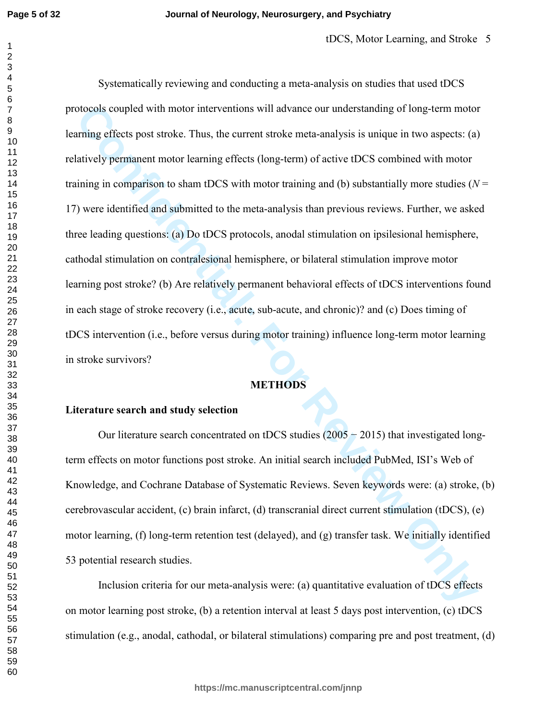bloods coupled with motor interventions will advance our understanding of long-term motor<br>
Transig effects post stroke. Thus, the current stroke meta-analysis is unique in two aspects: (a)<br>
datively permanent motor learnin Systematically reviewing and conducting a meta-analysis on studies that used tDCS protocols coupled with motor interventions will advance our understanding of long-term motor learning effects post stroke. Thus, the current stroke meta-analysis is unique in two aspects: (a) relatively permanent motor learning effects (long-term) of active tDCS combined with motor training in comparison to sham tDCS with motor training and (b) substantially more studies  $(N =$ 17) were identified and submitted to the meta-analysis than previous reviews. Further, we asked three leading questions: (a) Do tDCS protocols, anodal stimulation on ipsilesional hemisphere, cathodal stimulation on contralesional hemisphere, or bilateral stimulation improve motor learning post stroke? (b) Are relatively permanent behavioral effects of tDCS interventions found in each stage of stroke recovery (i.e., acute, sub-acute, and chronic)? and (c) Does timing of tDCS intervention (i.e., before versus during motor training) influence long-term motor learning in stroke survivors?

## **METHODS**

### **Literature search and study selection**

 Our literature search concentrated on tDCS studies (2005 − 2015) that investigated longterm effects on motor functions post stroke. An initial search included PubMed, ISI's Web of Knowledge, and Cochrane Database of Systematic Reviews. Seven keywords were: (a) stroke, (b) cerebrovascular accident, (c) brain infarct, (d) transcranial direct current stimulation (tDCS), (e) motor learning, (f) long-term retention test (delayed), and (g) transfer task. We initially identified 53 potential research studies.

 Inclusion criteria for our meta-analysis were: (a) quantitative evaluation of tDCS effects on motor learning post stroke, (b) a retention interval at least 5 days post intervention, (c) tDCS stimulation (e.g., anodal, cathodal, or bilateral stimulations) comparing pre and post treatment, (d)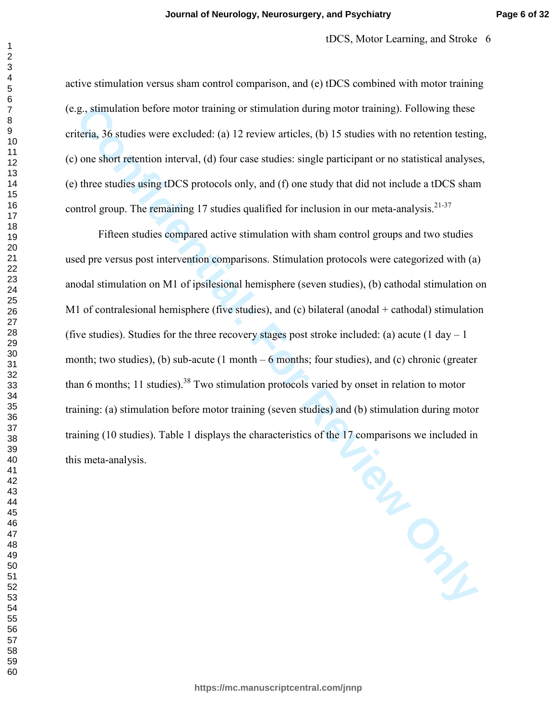active stimulation versus sham control comparison, and (e) tDCS combined with motor training (e.g., stimulation before motor training or stimulation during motor training). Following these criteria, 36 studies were excluded: (a) 12 review articles, (b) 15 studies with no retention testing, (c) one short retention interval, (d) four case studies: single participant or no statistical analyses, (e) three studies using tDCS protocols only, and (f) one study that did not include a tDCS sham control group. The remaining 17 studies qualified for inclusion in our meta-analysis.<sup>21-37</sup>

 Fifteen studies compared active stimulation with sham control groups and two studies used pre versus post intervention comparisons. Stimulation protocols were categorized with (a) anodal stimulation on M1 of ipsilesional hemisphere (seven studies), (b) cathodal stimulation on M1 of contralesional hemisphere (five studies), and (c) bilateral (anodal + cathodal) stimulation (five studies). Studies for the three recovery stages post stroke included: (a) acute (1 day  $-1$ month; two studies), (b) sub-acute (1 month  $-6$  months; four studies), and (c) chronic (greater than 6 months; 11 studies).<sup>38</sup> Two stimulation protocols varied by onset in relation to motor training: (a) stimulation before motor training (seven studies) and (b) stimulation during motor training (10 studies). Table 1 displays the characteristics of the 17 comparisons we included in this meta-analysis.

**Confidential: For Review Only**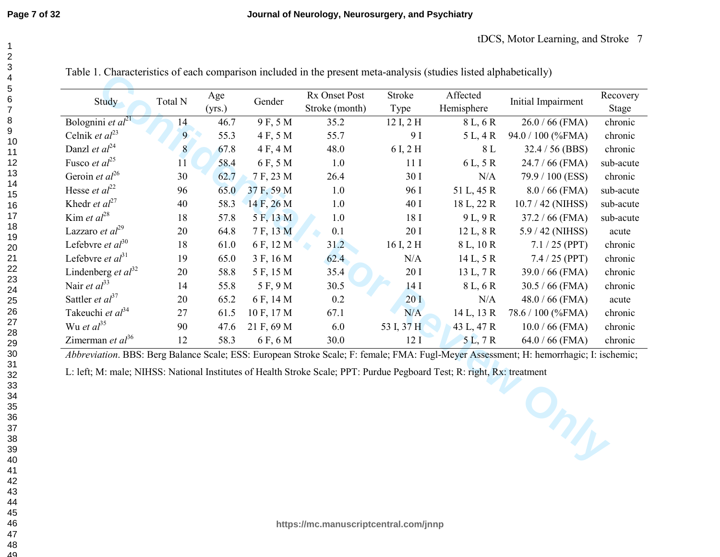| Study                                                                                                                   | Total N | Age<br>(yrs.) | Gender     | Rx Onset Post<br>Stroke (month) | <b>Stroke</b><br>Type | Affected<br>Hemisphere | Initial Impairment                                                                                                                            | Recovery<br>Stage |
|-------------------------------------------------------------------------------------------------------------------------|---------|---------------|------------|---------------------------------|-----------------------|------------------------|-----------------------------------------------------------------------------------------------------------------------------------------------|-------------------|
| Bolognini et $al^{21}$                                                                                                  | 14      | 46.7          | 9 F, 5 M   | 35.2                            | 12 I, 2 H             | 8 L, 6 R               | $26.0 / 66$ (FMA)                                                                                                                             | chronic           |
| Celnik et $al^{23}$                                                                                                     | 9       | 55.3          | 4 F, 5 M   | 55.7                            | 9 I                   | 5 L, 4 R               | 94.0 / 100 (%FMA)                                                                                                                             | chronic           |
| Danzl et $al^{24}$                                                                                                      | 8       | 67.8          | 4 F, 4 M   | 48.0                            | 6 I, 2 H              | 8 L                    | $32.4 / 56$ (BBS)                                                                                                                             | chronic           |
| Fusco <i>et al</i> <sup>25</sup>                                                                                        | 11      | 58.4          | 6 F, 5 M   | 1.0                             | 11I                   | 6 L, 5 R               | $24.7 / 66$ (FMA)                                                                                                                             | sub-acute         |
| Geroin et $al^{26}$                                                                                                     | 30      | 62.7          | 7 F, 23 M  | 26.4                            | 30 I                  | N/A                    | 79.9 / 100 (ESS)                                                                                                                              | chronic           |
| Hesse <i>et al</i> <sup>22</sup>                                                                                        | 96      | 65.0          | 37 F, 59 M | 1.0                             | 96 I                  | 51 L, 45 R             | $8.0 / 66$ (FMA)                                                                                                                              | sub-acute         |
| Khedr <i>et al</i> <sup>27</sup>                                                                                        | 40      | 58.3          | 14 F, 26 M | 1.0                             | 40 I                  | 18 L, 22 R             | 10.7 / 42 (NIHSS)                                                                                                                             | sub-acute         |
| Kim et $al^{28}$                                                                                                        | 18      | 57.8          | 5 F, 13 M  | 1.0                             | 18 I                  | 9L, 9R                 | $37.2 / 66$ (FMA)                                                                                                                             | sub-acute         |
| Lazzaro et $al^{29}$                                                                                                    | 20      | 64.8          | 7 F, 13 M  | 0.1                             | 20 I                  | 12 L, 8 R              | 5.9 / 42 (NIHSS)                                                                                                                              | acute             |
| Lefebvre et $al^{30}$                                                                                                   | 18      | 61.0          | 6 F, 12 M  | 31.2                            | 16 I, 2 H             | 8 L, 10 R              | $7.1 / 25$ (PPT)                                                                                                                              | chronic           |
| Lefebvre et $al^{31}$                                                                                                   | 19      | 65.0          | 3 F, 16 M  | 62.4                            | N/A                   | 14 L, 5 R              | 7.4 / 25 (PPT)                                                                                                                                | chronic           |
| Lindenberg et $al^{32}$                                                                                                 | 20      | 58.8          | 5 F, 15 M  | 35.4                            | 20 I                  | 13 L, 7 R              | $39.0 / 66$ (FMA)                                                                                                                             | chronic           |
| Nair et $al33$                                                                                                          | 14      | 55.8          | 5 F, 9 M   | 30.5                            | 14I                   | 8 L, 6 R               | $30.5 / 66$ (FMA)                                                                                                                             | chronic           |
| Sattler <i>et</i> $al^{37}$                                                                                             | 20      | 65.2          | 6 F, 14 M  | 0.2                             | 20I                   | N/A                    | $48.0 / 66$ (FMA)                                                                                                                             | acute             |
| Takeuchi et al <sup>34</sup>                                                                                            | 27      | 61.5          | 10 F, 17 M | 67.1                            | N/A                   | $14 L$ , $13 R$        | 78.6 / 100 (%FMA)                                                                                                                             | chronic           |
| Wu et $al^{35}$                                                                                                         | 90      | 47.6          | 21 F, 69 M | 6.0                             | 53 I, 37 H            | 43 L, 47 R             | $10.0 / 66$ (FMA)                                                                                                                             | chronic           |
| Zimerman et $al^{36}$                                                                                                   | 12      | 58.3          | 6 F, 6 M   | 30.0                            | 12 <sub>I</sub>       | 5L, 7R                 | $64.0 / 66$ (FMA)                                                                                                                             | chronic           |
| L: left; M: male; NIHSS: National Institutes of Health Stroke Scale; PPT: Purdue Pegboard Test; R: right, Rx: treatment |         |               |            |                                 |                       |                        | Abbreviation. BBS: Berg Balance Scale; ESS: European Stroke Scale; F: female; FMA: Fugl-Meyer Assessment; H: hemorrhagic; I: ischemic;<br>Ung |                   |

Table 1. Characteristics of each comparison included in the present meta-analysis (studies listed alphabetically)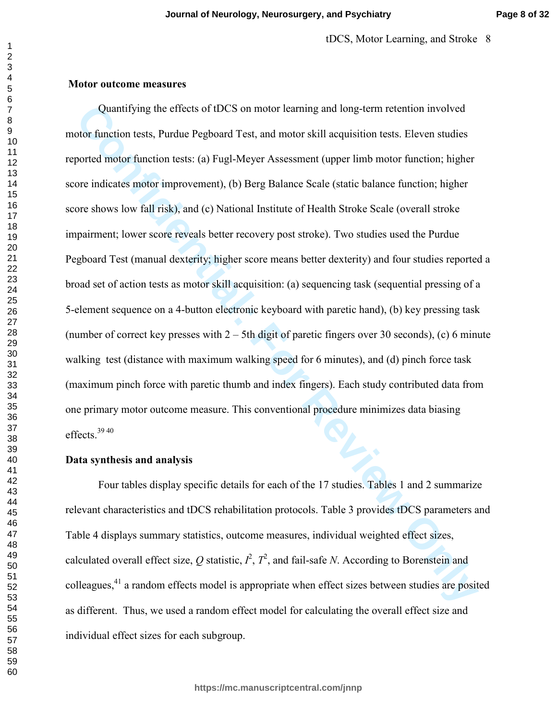#### **Motor outcome measures**

Quantifying the effects of tDCS on motor learning and long-term retention involved<br>confinancion tests, Purdue Pegboard Test, and motor skill acquisition tests. Eleven studies<br>conted motor function tests: (a) Fugl-Meyer As Quantifying the effects of tDCS on motor learning and long-term retention involved motor function tests, Purdue Pegboard Test, and motor skill acquisition tests. Eleven studies reported motor function tests: (a) Fugl-Meyer Assessment (upper limb motor function; higher score indicates motor improvement), (b) Berg Balance Scale (static balance function; higher score shows low fall risk), and (c) National Institute of Health Stroke Scale (overall stroke impairment; lower score reveals better recovery post stroke). Two studies used the Purdue Pegboard Test (manual dexterity; higher score means better dexterity) and four studies reported a broad set of action tests as motor skill acquisition: (a) sequencing task (sequential pressing of a 5-element sequence on a 4-button electronic keyboard with paretic hand), (b) key pressing task (number of correct key presses with  $2 - 5$ th digit of paretic fingers over 30 seconds), (c) 6 minute walking test (distance with maximum walking speed for 6 minutes), and (d) pinch force task (maximum pinch force with paretic thumb and index fingers). Each study contributed data from one primary motor outcome measure. This conventional procedure minimizes data biasing effects<sup>3940</sup>

#### **Data synthesis and analysis**

 Four tables display specific details for each of the 17 studies. Tables 1 and 2 summarize relevant characteristics and tDCS rehabilitation protocols. Table 3 provides tDCS parameters and Table 4 displays summary statistics, outcome measures, individual weighted effect sizes, calculated overall effect size, Q statistic,  $I^2$ ,  $T^2$ , and fail-safe *N*. According to Borenstein and colleagues,<sup>41</sup> a random effects model is appropriate when effect sizes between studies are posited as different. Thus, we used a random effect model for calculating the overall effect size and individual effect sizes for each subgroup.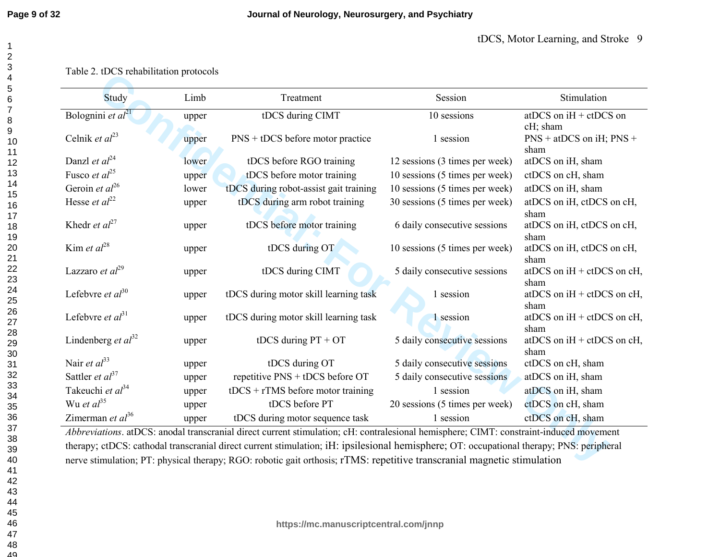## Table 2. tDCS rehabilitation protocols

| Study<br>Limb                    |       | Treatment                              | Session                        | Stimulation                              |
|----------------------------------|-------|----------------------------------------|--------------------------------|------------------------------------------|
| Bolognini et $al21$              | upper | tDCS during CIMT                       | 10 sessions                    | at DCS on $iH + ctDCS$ on<br>cH; sham    |
| Celnik et $al^{23}$              | upper | $PNS + tDCS$ before motor practice     | 1 session                      | $PNS + atDCS$ on iH; $PNS +$<br>sham     |
| Danzl et $al^{24}$               | lower | tDCS before RGO training               | 12 sessions (3 times per week) | atDCS on iH, sham                        |
| Fusco et $al^{25}$               | upper | tDCS before motor training             | 10 sessions (5 times per week) | ctDCS on cH, sham                        |
| Geroin et $al^{26}$              | lower | tDCS during robot-assist gait training | 10 sessions (5 times per week) | atDCS on iH, sham                        |
| Hesse <i>et al</i> <sup>22</sup> | upper | tDCS during arm robot training         | 30 sessions (5 times per week) | atDCS on iH, ctDCS on cH,<br>sham        |
| Khedr <i>et</i> $al^{27}$        | upper | tDCS before motor training             | 6 daily consecutive sessions   | atDCS on iH, ctDCS on cH,<br>sham        |
| Kim et $al^{28}$                 | upper | tDCS during OT                         | 10 sessions (5 times per week) | atDCS on iH, ctDCS on cH,<br>sham        |
| Lazzaro et $al^{29}$             | upper | tDCS during CIMT                       | 5 daily consecutive sessions   | at DCS on $iH + ctDCS$ on $cH$ ,<br>sham |
| Lefebvre et $al^{30}$            | upper | tDCS during motor skill learning task  | 1 session                      | at DCS on $iH + ctDCS$ on $cH$ ,<br>sham |
| Lefebvre et $al^{31}$            | upper | tDCS during motor skill learning task  | 1 session                      | at DCS on $iH + ctDCS$ on $cH$ ,<br>sham |
| Lindenberg et $al^{32}$          | upper | tDCS during $PT + OT$                  | 5 daily consecutive sessions   | at DCS on $iH + ctDCS$ on $cH$ ,<br>sham |
| Nair et $al^{33}$                | upper | tDCS during OT                         | 5 daily consecutive sessions   | ctDCS on cH, sham                        |
| Sattler et $al^{37}$             | upper | repetitive PNS + tDCS before OT        | 5 daily consecutive sessions   | atDCS on iH, sham                        |
| Takeuchi et $al^{34}$            | upper | $tDCS + rTMS$ before motor training    | 1 session                      | atDCS on iH, sham                        |
| Wu et $al^{35}$                  | upper | tDCS before PT                         | 20 sessions (5 times per week) | ctDCS on cH, sham                        |
| Zimerman et $al^{36}$            |       | tDCS during motor sequence task        | 1 session                      | ctDCS on cH, sham                        |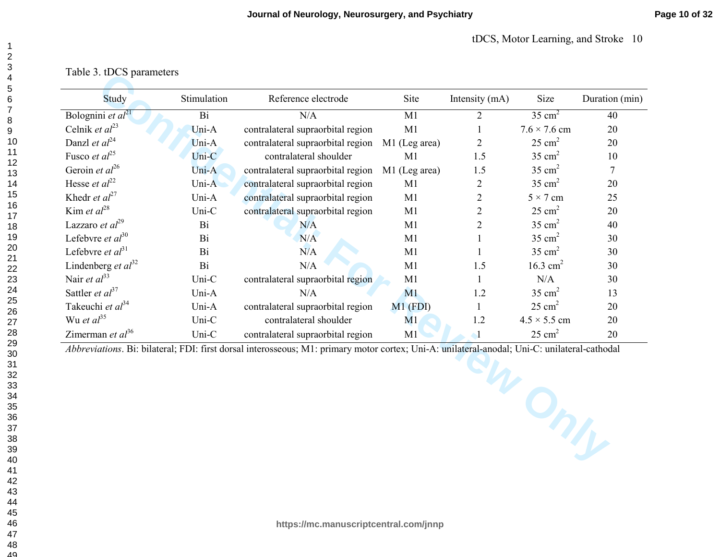Table 3. tDCS parameters

| Study                            | Stimulation | Reference electrode                                                                                                                          | Site          | Intensity (mA) | Size                | Duration (min) |
|----------------------------------|-------------|----------------------------------------------------------------------------------------------------------------------------------------------|---------------|----------------|---------------------|----------------|
| Bolognini et $al^{21}$           | Bi          | N/A                                                                                                                                          | M1            | $\overline{2}$ | $35 \text{ cm}^2$   | 40             |
| Celnik et $al^{23}$              | Uni-A       | contralateral supraorbital region                                                                                                            | M1            |                | $7.6 \times 7.6$ cm | 20             |
| Danzl et $al24$                  | Uni-A       | contralateral supraorbital region                                                                                                            | M1 (Leg area) | $\overline{2}$ | $25 \text{ cm}^2$   | 20             |
| Fusco et $al^{25}$               | Uni-C       | contralateral shoulder                                                                                                                       | M1            | 1.5            | $35 \text{ cm}^2$   | 10             |
| Geroin et $al^{26}$              | Uni-A       | contralateral supraorbital region                                                                                                            | M1 (Leg area) | 1.5            | $35 \text{ cm}^2$   | 7              |
| Hesse <i>et al</i> <sup>22</sup> | Uni-A       | contralateral supraorbital region                                                                                                            | M1            | $\overline{2}$ | $35 \text{ cm}^2$   | 20             |
| Khedr <i>et al</i> <sup>27</sup> | Uni-A       | contralateral supraorbital region                                                                                                            | M1            | $\overline{2}$ | $5 \times 7$ cm     | 25             |
| Kim et $al^{28}$                 | Uni-C       | contralateral supraorbital region                                                                                                            | M1            | $\overline{2}$ | $25 \text{ cm}^2$   | 20             |
| Lazzaro et $al^{29}$             | Bi          | N/A                                                                                                                                          | M1            | $\overline{2}$ | $35 \text{ cm}^2$   | 40             |
| Lefebvre et $al^{30}$            | Bi          | N/A                                                                                                                                          | M1            |                | $35 \text{ cm}^2$   | 30             |
| Lefebvre et $al31$               | <b>Bi</b>   | N/A                                                                                                                                          | M1            |                | $35 \text{ cm}^2$   | 30             |
| Lindenberg et $al^{32}$          | Bi          | N/A                                                                                                                                          | M1            | 1.5            | 16.3 $cm2$          | 30             |
| Nair et $al33$                   | Uni-C       | contralateral supraorbital region                                                                                                            | M1            | 1              | N/A                 | 30             |
| Sattler <i>et</i> $al^{37}$      | Uni-A       | N/A                                                                                                                                          | M1            | 1.2            | $35 \text{ cm}^2$   | 13             |
| Takeuchi et $al^{34}$            | Uni-A       | contralateral supraorbital region                                                                                                            | $M1$ (FDI)    | $\mathbf{1}$   | $25 \text{ cm}^2$   | 20             |
| Wu et $al^{35}$                  | Uni-C       | contralateral shoulder                                                                                                                       | M1            | 1.2            | $4.5 \times 5.5$ cm | 20             |
| Zimerman et $al^{36}$            | Uni-C       | contralateral supraorbital region                                                                                                            | M1            | $\mathbf{I}$   | $25 \text{ cm}^2$   | 20             |
|                                  |             | Abbreviations. Bi: bilateral; FDI: first dorsal interosseous; M1: primary motor cortex; Uni-A: unilateral-anodal; Uni-C: unilateral-cathodal |               |                | Only                |                |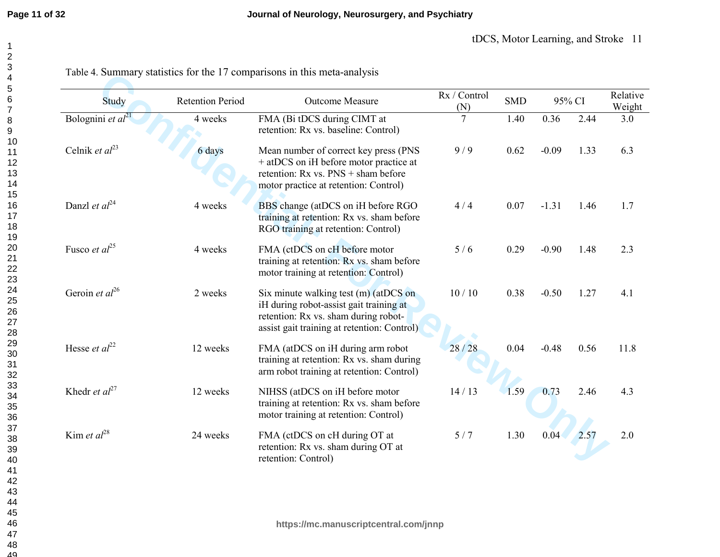| Study                            | <b>Retention Period</b> | Outcome Measure                                                                                                                                                            | Rx / Control<br>(N) | <b>SMD</b> | 95% CI  |      | Relative<br>Weight |
|----------------------------------|-------------------------|----------------------------------------------------------------------------------------------------------------------------------------------------------------------------|---------------------|------------|---------|------|--------------------|
| Bolognini et $al^{21}$           | 4 weeks                 | FMA (Bi tDCS during CIMT at<br>retention: Rx vs. baseline: Control)                                                                                                        | $\overline{7}$      | 1.40       | 0.36    | 2.44 | 3.0                |
| Celnik et $al^{23}$              | 6 days                  | Mean number of correct key press (PNS<br>+ at DCS on iH before motor practice at<br>retention: $Rx$ vs. $PNS + sham$ before<br>motor practice at retention: Control)       | 9/9                 | 0.62       | $-0.09$ | 1.33 | 6.3                |
| Danzl et $al^{24}$               | 4 weeks                 | BBS change (atDCS on iH before RGO<br>training at retention: Rx vs. sham before<br>RGO training at retention: Control)                                                     | 4/4                 | 0.07       | $-1.31$ | 1.46 | 1.7                |
| Fusco et $al^{25}$               | 4 weeks                 | FMA (ctDCS on cH before motor<br>training at retention: Rx vs. sham before<br>motor training at retention: Control)                                                        | 5/6                 | 0.29       | $-0.90$ | 1.48 | 2.3                |
| Geroin et $al^{26}$              | 2 weeks                 | Six minute walking test $(m)$ (at DCS on<br>iH during robot-assist gait training at<br>retention: Rx vs. sham during robot-<br>assist gait training at retention: Control) | 10/10               | 0.38       | $-0.50$ | 1.27 | 4.1                |
| Hesse et $al^{22}$               | 12 weeks                | FMA (atDCS on iH during arm robot<br>training at retention: Rx vs. sham during<br>arm robot training at retention: Control)                                                | 28/28               | 0.04       | $-0.48$ | 0.56 | 11.8               |
| Khedr <i>et al</i> <sup>27</sup> | 12 weeks                | NIHSS (atDCS on iH before motor<br>training at retention: Rx vs. sham before<br>motor training at retention: Control)                                                      | 14/13               | 1.59       | 0.73    | 2.46 | 4.3                |
| Kim et $al^{28}$                 | 24 weeks                | FMA (ctDCS on cH during OT at<br>retention: Rx vs. sham during OT at<br>retention: Control)                                                                                | 5/7                 | 1.30       | 0.04    | 2.57 | 2.0                |

Table 4. Summary statistics for the 17 comparisons in this meta-analysis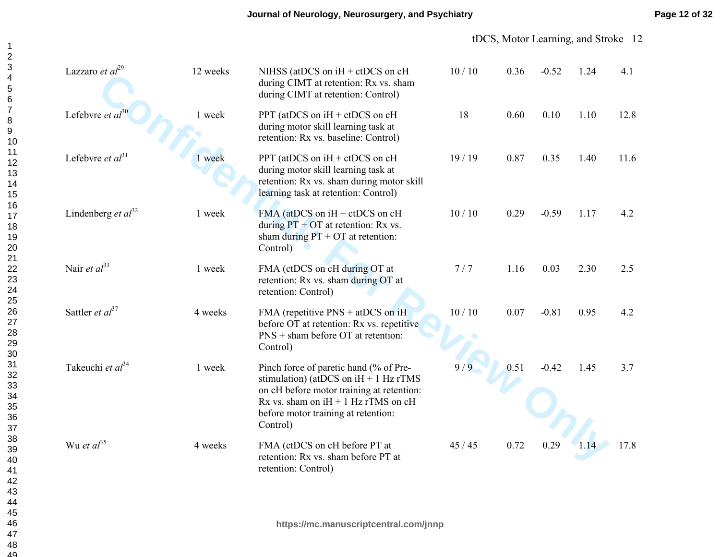| Lazzaro et $al^{29}$    | 12 weeks | NIHSS (at DCS on $iH + ctDCS$ on $cH$<br>during CIMT at retention: Rx vs. sham<br>during CIMT at retention: Control)                                                                                                          | 10/10 | 0.36 | $-0.52$ | 1.24 | 4.1  |
|-------------------------|----------|-------------------------------------------------------------------------------------------------------------------------------------------------------------------------------------------------------------------------------|-------|------|---------|------|------|
| Lefebvre et $al^{30}$   | 1 week   | PPT (at DCS on $iH + ctDCS$ on $cH$<br>during motor skill learning task at<br>retention: Rx vs. baseline: Control)                                                                                                            | 18    | 0.60 | 0.10    | 1.10 | 12.8 |
| Lefebvre et $al31$      | 1 week   | PPT (atDCS on iH + ctDCS on cH<br>during motor skill learning task at<br>retention: Rx vs. sham during motor skill<br>learning task at retention: Control)                                                                    | 19/19 | 0.87 | 0.35    | 1.40 | 11.6 |
| Lindenberg et $al^{32}$ | 1 week   | FMA (at DCS on $iH + ctDCS$ on $cH$<br>during $PT + OT$ at retention: Rx vs.<br>sham during $PT + OT$ at retention:<br>Control)                                                                                               | 10/10 | 0.29 | $-0.59$ | 1.17 | 4.2  |
| Nair et $al^{33}$       | 1 week   | FMA (ctDCS on cH during OT at<br>retention: Rx vs. sham during OT at<br>retention: Control)                                                                                                                                   | 7/7   | 1.16 | 0.03    | 2.30 | 2.5  |
| Sattler et $al^{37}$    | 4 weeks  | FMA (repetitive $PNS + atDCS$ on iH<br>before OT at retention: Rx vs. repetitive<br>$PNS +$ sham before OT at retention:<br>Control)                                                                                          | 10/10 | 0.07 | $-0.81$ | 0.95 | 4.2  |
| Takeuchi et $al^{34}$   | 1 week   | Pinch force of paretic hand (% of Pre-<br>stimulation) (at DCS on $iH + 1$ Hz rTMS<br>on cH before motor training at retention:<br>Rx vs. sham on $iH + 1$ Hz rTMS on $cH$<br>before motor training at retention:<br>Control) | 9/9   | 0.51 | $-0.42$ | 1.45 | 3.7  |
| Wu et $al^{35}$         | 4 weeks  | FMA (ctDCS on cH before PT at<br>retention: Rx vs. sham before PT at<br>retention: Control)                                                                                                                                   | 45/45 | 0.72 | 0.29    | 1.14 | 17.8 |
|                         |          | https://mc.manuscriptcentral.com/jnnp                                                                                                                                                                                         |       |      |         |      |      |
|                         |          |                                                                                                                                                                                                                               |       |      |         |      |      |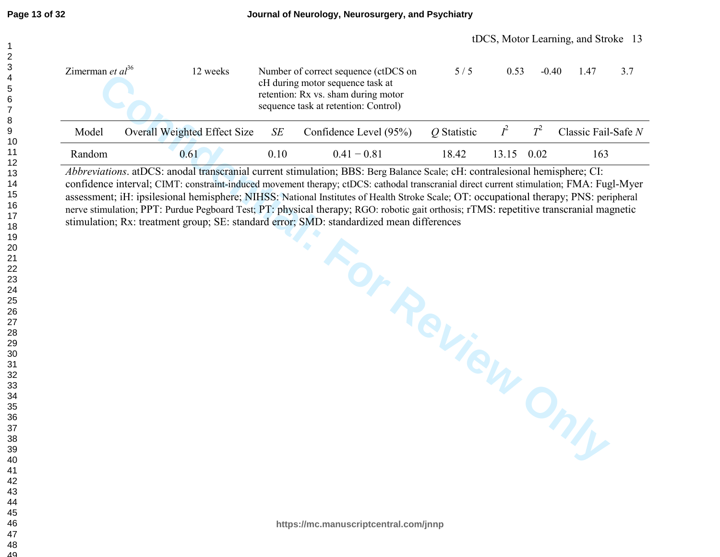| Zimerman <i>et al</i> <sup>36</sup> | 12 weeks                        |      | Number of correct sequence (ctDCS on<br>cH during motor sequence task at<br>retention: Rx vs. sham during motor<br>sequence task at retention: Control) | 5/5         | 0.53              | $-0.40$ | 3.7<br>1.47           |
|-------------------------------------|---------------------------------|------|---------------------------------------------------------------------------------------------------------------------------------------------------------|-------------|-------------------|---------|-----------------------|
| Model                               | Overall Weighted Effect Size SE |      | Confidence Level (95%)                                                                                                                                  | Q Statistic | $l^2$             | $T^2$   | Classic Fail-Safe $N$ |
| Random                              | 0.61                            | 0.10 | $0.41 - 0.81$                                                                                                                                           | 18.42       | $1315 \quad 0.02$ |         | 163                   |

*Abbreviations*. atDCS: anodal transcranial current stimulation; BBS: Berg Balance Scale; cH: contralesional hemisphere; CI: confidence interval; CIMT: constraint-induced movement therapy; ctDCS: cathodal transcranial direct current stimulation; FMA: Fugl-Myer assessment; iH: ipsilesional hemisphere; NIHSS: National Institutes of Health Stroke Scale; OT: occupational therapy; PNS: peripheral nerve stimulation; PPT: Purdue Pegboard Test; PT: physical therapy; RGO: robotic gait orthosis; rTMS: repetitive transcranial magnetic stimulation; Rx: treatment group; SE: standard error; SMD: standardized mean differences

ater are through the vectors expended to the confidence (to use of the during motors sequence task at the continue of the system during motors (SPM) (Statistic F T<sup>2</sup> Classis Fail experiment the system during motors and se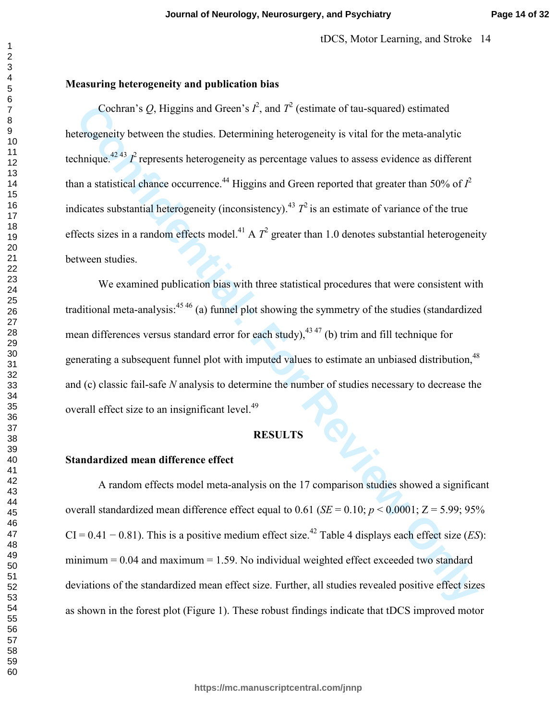## **Measuring heterogeneity and publication bias**

**Cochran's Q.** Higgins and Green's  $\vec{F}$ , and  $\vec{T}^2$  (estimate of tau-squared) estimated<br>terogeneity hetween the studies. Determining heterogeneity is vital for the meta-analytic<br>terogeneity hetween the studies. Deter Cochran's Q, Higgins and Green's  $I^2$ , and  $T^2$  (estimate of tau-squared) estimated heterogeneity between the studies. Determining heterogeneity is vital for the meta-analytic technique.<sup>42 43</sup>  $I^2$  represents heterogeneity as percentage values to assess evidence as different than a statistical chance occurrence.<sup>44</sup> Higgins and Green reported that greater than 50% of  $I^2$ indicates substantial heterogeneity (inconsistency).<sup>43</sup>  $T^2$  is an estimate of variance of the true effects sizes in a random effects model.<sup>41</sup> A  $T^2$  greater than 1.0 denotes substantial heterogeneity between studies.

 We examined publication bias with three statistical procedures that were consistent with traditional meta-analysis:  $45\frac{46}{9}$  (a) funnel plot showing the symmetry of the studies (standardized mean differences versus standard error for each study),  $43 \times 47$  (b) trim and fill technique for generating a subsequent funnel plot with imputed values to estimate an unbiased distribution,<sup>48</sup> and (c) classic fail-safe *N* analysis to determine the number of studies necessary to decrease the overall effect size to an insignificant level.<sup>49</sup>

## **RESULTS**

## **Standardized mean difference effect**

A random effects model meta-analysis on the 17 comparison studies showed a significant overall standardized mean difference effect equal to  $0.61$  (*SE* = 0.10; *p* < 0.0001; Z = 5.99; 95%  $CI = 0.41 - 0.81$ ). This is a positive medium effect size.<sup>42</sup> Table 4 displays each effect size (*ES*): minimum  $= 0.04$  and maximum  $= 1.59$ . No individual weighted effect exceeded two standard deviations of the standardized mean effect size. Further, all studies revealed positive effect sizes as shown in the forest plot (Figure 1). These robust findings indicate that tDCS improved motor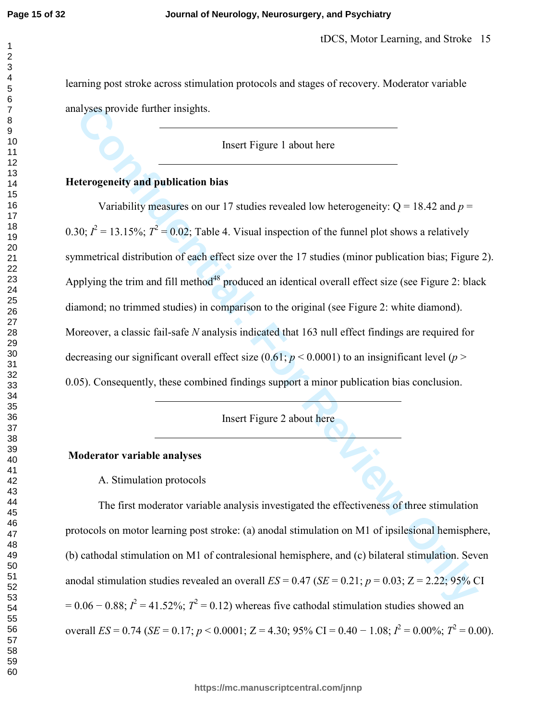#### **Journal of Neurology, Neurosurgery, and Psychiatry**

learning post stroke across stimulation protocols and stages of recovery. Moderator variable analyses provide further insights.

Insert Figure 1 about here

### **Heterogeneity and publication bias**

alyses provide further insights.<br> **Confidential:** Insert Figure 1 about here<br>
tecrogeneity and publication bias<br>
Variability measures on our 17 studies revealed low heterogeneity: Q = 18.42 and  $p = 80$ ;  $\vec{F} = 13.15\%$ ; Variability measures on our 17 studies revealed low heterogeneity:  $Q = 18.42$  and  $p =$ 0.30;  $I^2 = 13.15\%$ ;  $T^2 = 0.02$ ; Table 4. Visual inspection of the funnel plot shows a relatively symmetrical distribution of each effect size over the 17 studies (minor publication bias; Figure 2). Applying the trim and fill method<sup>48</sup> produced an identical overall effect size (see Figure 2: black diamond; no trimmed studies) in comparison to the original (see Figure 2: white diamond). Moreover, a classic fail-safe *N* analysis indicated that 163 null effect findings are required for decreasing our significant overall effect size  $(0.61; p \le 0.0001)$  to an insignificant level  $(p \ge 0.0001)$ 0.05). Consequently, these combined findings support a minor publication bias conclusion.

Insert Figure 2 about here

## **Moderator variable analyses**

A. Stimulation protocols

The first moderator variable analysis investigated the effectiveness of three stimulation protocols on motor learning post stroke: (a) anodal stimulation on M1 of ipsilesional hemisphere, (b) cathodal stimulation on M1 of contralesional hemisphere, and (c) bilateral stimulation. Seven anodal stimulation studies revealed an overall  $ES = 0.47$  ( $SE = 0.21$ ;  $p = 0.03$ ;  $Z = 2.22$ ; 95% CI  $= 0.06 - 0.88$ ;  $I^2 = 41.52$ %;  $T^2 = 0.12$ ) whereas five cathodal stimulation studies showed an overall *ES* = 0.74 (*SE* = 0.17; *p* < 0.0001; Z = 4.30; 95% CI = 0.40 – 1.08;  $I^2 = 0.00\%$ ;  $T^2 = 0.00$ ).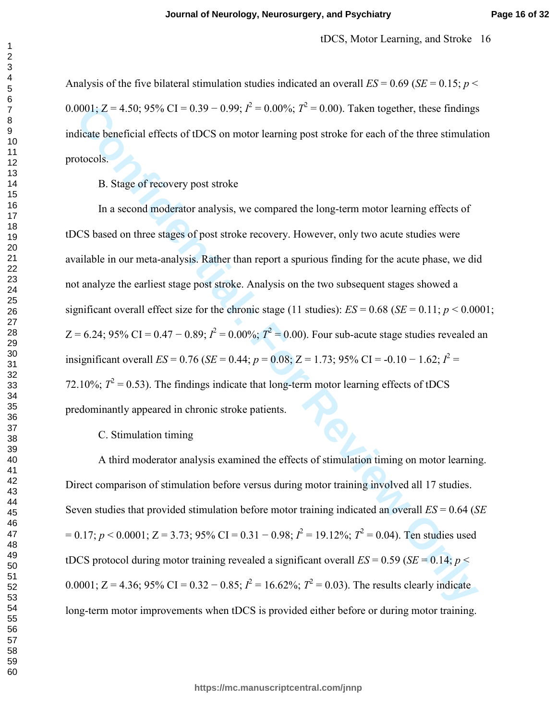Analysis of the five bilateral stimulation studies indicated an overall  $ES = 0.69$  ( $SE = 0.15$ ;  $p \le$ 0.0001; Z = 4.50; 95% CI = 0.39 – 0.99;  $I^2 = 0.00\%$ ;  $T^2 = 0.00$ ). Taken together, these findings indicate beneficial effects of tDCS on motor learning post stroke for each of the three stimulation protocols.

#### B. Stage of recovery post stroke

**Confidential:** For Confidential: For Confidential: For Confidential Extending Size and Solution and the stimulation of the stimulation of the stimulation of the stimulation of the stimulation of the stimulation of the st In a second moderator analysis, we compared the long-term motor learning effects of tDCS based on three stages of post stroke recovery. However, only two acute studies were available in our meta-analysis. Rather than report a spurious finding for the acute phase, we did not analyze the earliest stage post stroke. Analysis on the two subsequent stages showed a significant overall effect size for the chronic stage (11 studies):  $ES = 0.68$  ( $SE = 0.11$ ;  $p < 0.0001$ ;  $Z = 6.24$ ; 95% CI = 0.47 – 0.89;  $I^2 = 0.00\%$ ;  $T^2 = 0.00$ ). Four sub-acute stage studies revealed an insignificant overall *ES* = 0.76 (*SE* = 0.44;  $p = 0.08$ ; Z = 1.73; 95% CI = -0.10 – 1.62;  $I^2$  = 72.10%;  $T^2 = 0.53$ ). The findings indicate that long-term motor learning effects of tDCS predominantly appeared in chronic stroke patients.

### C. Stimulation timing

 A third moderator analysis examined the effects of stimulation timing on motor learning. Direct comparison of stimulation before versus during motor training involved all 17 studies. Seven studies that provided stimulation before motor training indicated an overall *ES* = 0.64 (*SE*  $= 0.17$ ;  $p < 0.0001$ ;  $Z = 3.73$ ;  $95\%$  CI = 0.31 – 0.98;  $I^2 = 19.12\%$ ;  $T^2 = 0.04$ ). Ten studies used tDCS protocol during motor training revealed a significant overall  $ES = 0.59$  ( $SE = 0.14$ ;  $p \le$ 0.0001; Z = 4.36; 95% CI = 0.32 – 0.85;  $I^2 = 16.62\%$ ;  $T^2 = 0.03$ ). The results clearly indicate long-term motor improvements when tDCS is provided either before or during motor training.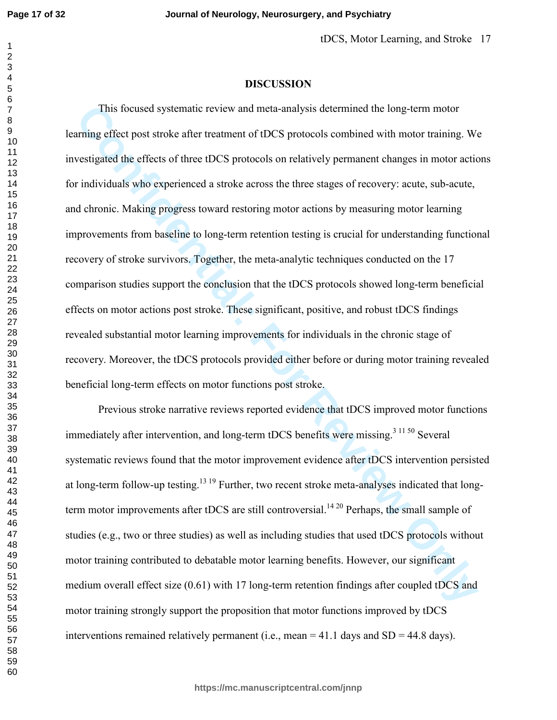#### **DISCUSSION**

This focused systematic review and meta-analysis determined the long-term motor<br>
raning effect post stroke after treatment of tDCS protocols combined with motor training. We<br>
sestigated the effects of three tDCS protocols This focused systematic review and meta-analysis determined the long-term motor learning effect post stroke after treatment of tDCS protocols combined with motor training. We investigated the effects of three tDCS protocols on relatively permanent changes in motor actions for individuals who experienced a stroke across the three stages of recovery: acute, sub-acute, and chronic. Making progress toward restoring motor actions by measuring motor learning improvements from baseline to long-term retention testing is crucial for understanding functional recovery of stroke survivors. Together, the meta-analytic techniques conducted on the 17 comparison studies support the conclusion that the tDCS protocols showed long-term beneficial effects on motor actions post stroke. These significant, positive, and robust tDCS findings revealed substantial motor learning improvements for individuals in the chronic stage of recovery. Moreover, the tDCS protocols provided either before or during motor training revealed beneficial long-term effects on motor functions post stroke.

 Previous stroke narrative reviews reported evidence that tDCS improved motor functions immediately after intervention, and long-term tDCS benefits were missing.<sup>3 11 50</sup> Several systematic reviews found that the motor improvement evidence after tDCS intervention persisted at long-term follow-up testing.<sup>13 19</sup> Further, two recent stroke meta-analyses indicated that longterm motor improvements after tDCS are still controversial.<sup>14 20</sup> Perhaps, the small sample of studies (e.g., two or three studies) as well as including studies that used tDCS protocols without motor training contributed to debatable motor learning benefits. However, our significant medium overall effect size (0.61) with 17 long-term retention findings after coupled tDCS and motor training strongly support the proposition that motor functions improved by tDCS interventions remained relatively permanent (i.e., mean  $=$  41.1 days and SD  $=$  44.8 days).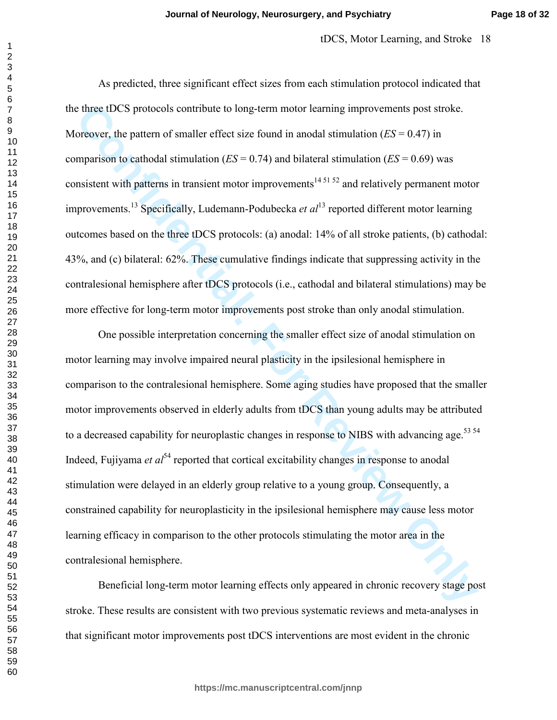tDCS, Motor Learning, and Stroke 18

 As predicted, three significant effect sizes from each stimulation protocol indicated that the three tDCS protocols contribute to long-term motor learning improvements post stroke. Moreover, the pattern of smaller effect size found in anodal stimulation (*ES* = 0.47) in comparison to cathodal stimulation (*ES* = 0.74) and bilateral stimulation (*ES* = 0.69) was consistent with patterns in transient motor improvements<sup>14 51 52</sup> and relatively permanent motor improvements.<sup>13</sup> Specifically, Ludemann-Podubecka *et al*<sup>13</sup> reported different motor learning outcomes based on the three tDCS protocols: (a) anodal: 14% of all stroke patients, (b) cathodal: 43%, and (c) bilateral: 62%. These cumulative findings indicate that suppressing activity in the contralesional hemisphere after tDCS protocols (i.e., cathodal and bilateral stimulations) may be more effective for long-term motor improvements post stroke than only anodal stimulation.

three IDCS protocols contribute to long-term motor karning improvements post stroke.<br>
Orderey, the pattern of smaller effect size found in anodal stimulation (*ES* = 0.47) in<br>
mparison to cathodal stimulation (*ES* = 0.74 One possible interpretation concerning the smaller effect size of anodal stimulation on motor learning may involve impaired neural plasticity in the ipsilesional hemisphere in comparison to the contralesional hemisphere. Some aging studies have proposed that the smaller motor improvements observed in elderly adults from tDCS than young adults may be attributed to a decreased capability for neuroplastic changes in response to NIBS with advancing age.<sup>53 54</sup> Indeed, Fujiyama *et al*<sup>54</sup> reported that cortical excitability changes in response to anodal stimulation were delayed in an elderly group relative to a young group. Consequently, a constrained capability for neuroplasticity in the ipsilesional hemisphere may cause less motor learning efficacy in comparison to the other protocols stimulating the motor area in the contralesional hemisphere.

 Beneficial long-term motor learning effects only appeared in chronic recovery stage post stroke. These results are consistent with two previous systematic reviews and meta-analyses in that significant motor improvements post tDCS interventions are most evident in the chronic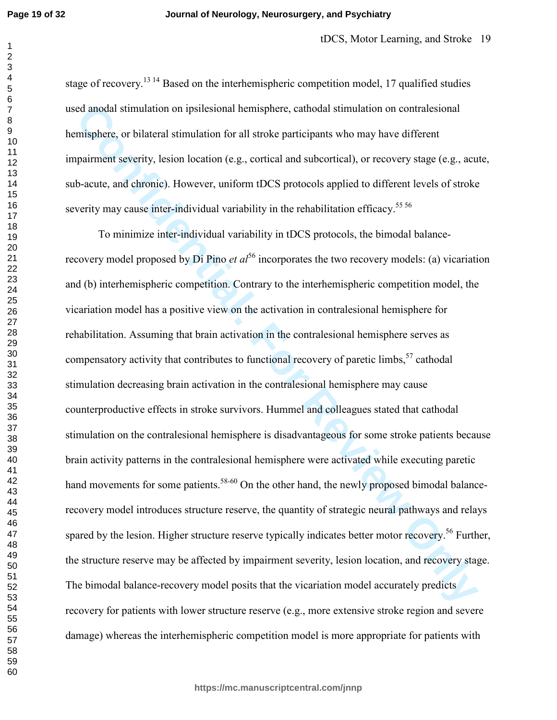#### **Journal of Neurology, Neurosurgery, and Psychiatry**

stage of recovery.<sup>13 14</sup> Based on the interhemispheric competition model, 17 qualified studies used anodal stimulation on ipsilesional hemisphere, cathodal stimulation on contralesional hemisphere, or bilateral stimulation for all stroke participants who may have different impairment severity, lesion location (e.g., cortical and subcortical), or recovery stage (e.g., acute, sub-acute, and chronic). However, uniform tDCS protocols applied to different levels of stroke severity may cause inter-individual variability in the rehabilitation efficacy.<sup>55 56</sup>

cd imodal stimulation on ipsilesional hemisphere, cathodal stimulation on contralesional<br>misphere, or bilateral stimulation for all stroke participants who may have different<br>misphere, or bilateral stimulation for all stro To minimize inter-individual variability in tDCS protocols, the bimodal balancerecovery model proposed by Di Pino *et al*<sup>56</sup> incorporates the two recovery models: (a) vicariation and (b) interhemispheric competition. Contrary to the interhemispheric competition model, the vicariation model has a positive view on the activation in contralesional hemisphere for rehabilitation. Assuming that brain activation in the contralesional hemisphere serves as compensatory activity that contributes to functional recovery of paretic limbs, cathodal stimulation decreasing brain activation in the contralesional hemisphere may cause counterproductive effects in stroke survivors. Hummel and colleagues stated that cathodal stimulation on the contralesional hemisphere is disadvantageous for some stroke patients because brain activity patterns in the contralesional hemisphere were activated while executing paretic hand movements for some patients.<sup>58-60</sup> On the other hand, the newly proposed bimodal balancerecovery model introduces structure reserve, the quantity of strategic neural pathways and relays spared by the lesion. Higher structure reserve typically indicates better motor recovery.<sup>56</sup> Further, the structure reserve may be affected by impairment severity, lesion location, and recovery stage. The bimodal balance-recovery model posits that the vicariation model accurately predicts recovery for patients with lower structure reserve (e.g., more extensive stroke region and severe damage) whereas the interhemispheric competition model is more appropriate for patients with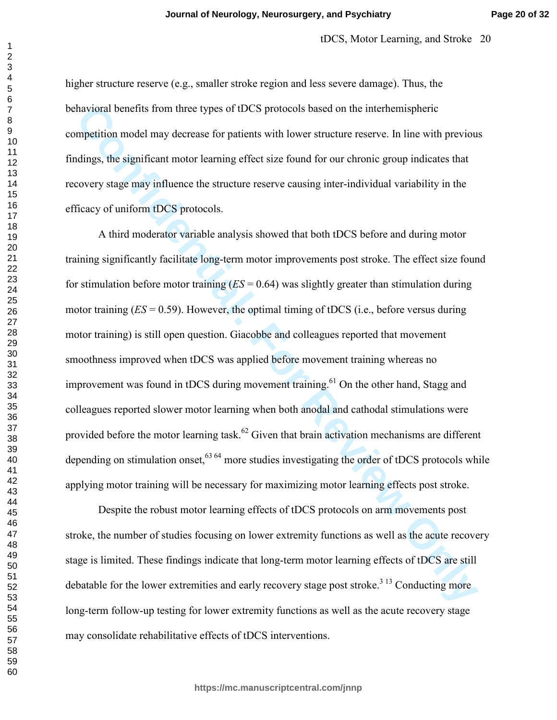higher structure reserve (e.g., smaller stroke region and less severe damage). Thus, the behavioral benefits from three types of tDCS protocols based on the interhemispheric competition model may decrease for patients with lower structure reserve. In line with previous findings, the significant motor learning effect size found for our chronic group indicates that recovery stage may influence the structure reserve causing inter-individual variability in the efficacy of uniform tDCS protocols.

the<br>vioral benefits from three types of tDCS protocols based on the interhemispheric<br>mpetition model may decrease for patients with lower structure reserve. In line with previous<br>durings, the significant motor learning eff A third moderator variable analysis showed that both tDCS before and during motor training significantly facilitate long-term motor improvements post stroke. The effect size found for stimulation before motor training (*ES* = 0.64) was slightly greater than stimulation during motor training (*ES* = 0.59). However, the optimal timing of tDCS (i.e., before versus during motor training) is still open question. Giacobbe and colleagues reported that movement smoothness improved when tDCS was applied before movement training whereas no improvement was found in tDCS during movement training.<sup>61</sup> On the other hand, Stagg and colleagues reported slower motor learning when both anodal and cathodal stimulations were provided before the motor learning task.<sup>62</sup> Given that brain activation mechanisms are different depending on stimulation onset,  $63 64$  more studies investigating the order of tDCS protocols while applying motor training will be necessary for maximizing motor learning effects post stroke.

 Despite the robust motor learning effects of tDCS protocols on arm movements post stroke, the number of studies focusing on lower extremity functions as well as the acute recovery stage is limited. These findings indicate that long-term motor learning effects of tDCS are still debatable for the lower extremities and early recovery stage post stroke.<sup>313</sup> Conducting more long-term follow-up testing for lower extremity functions as well as the acute recovery stage may consolidate rehabilitative effects of tDCS interventions.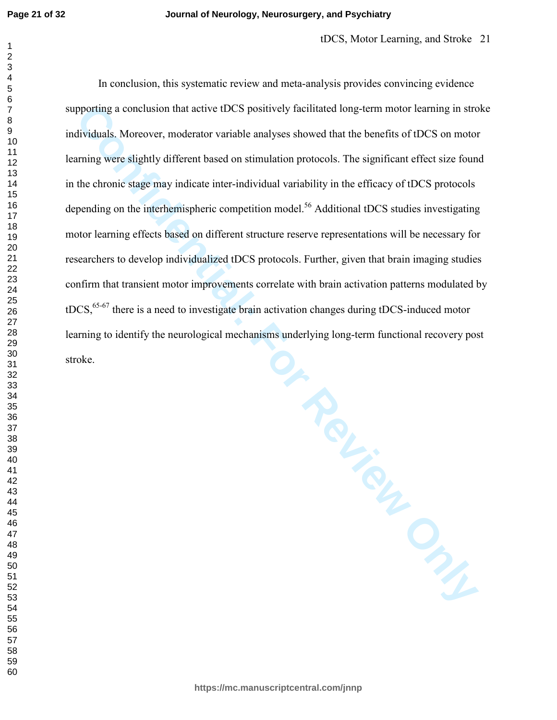#### **Journal of Neurology, Neurosurgery, and Psychiatry**

protting a conclusion that active tDCS positively firelitated long-term motor learning in structure<br>dividuals. Moreover, moderator variable analyses showed that the benefits of tDCS on motor<br>traing were slightly different In conclusion, this systematic review and meta-analysis provides convincing evidence supporting a conclusion that active tDCS positively facilitated long-term motor learning in stroke individuals. Moreover, moderator variable analyses showed that the benefits of tDCS on motor learning were slightly different based on stimulation protocols. The significant effect size found in the chronic stage may indicate inter-individual variability in the efficacy of tDCS protocols depending on the interhemispheric competition model.<sup>56</sup> Additional tDCS studies investigating motor learning effects based on different structure reserve representations will be necessary for researchers to develop individualized tDCS protocols. Further, given that brain imaging studies confirm that transient motor improvements correlate with brain activation patterns modulated by  $tDCS$ ,  $65-67$  there is a need to investigate brain activation changes during tDCS-induced motor learning to identify the neurological mechanisms underlying long-term functional recovery post stroke.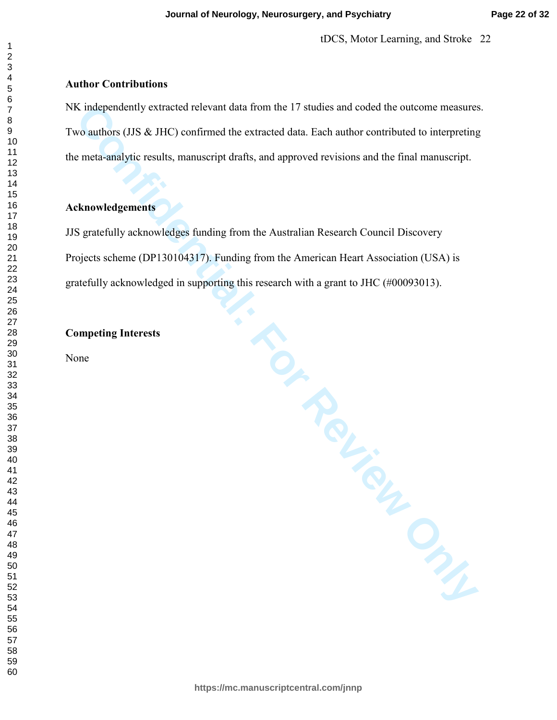#### **Author Contributions**

Confidential Confidential Confidential Control and From the 17 studies and coded the outcome measures<br>
conductors (JJS & JHC) confirmed the extracted data. Fach author contributed to interpreting<br>
meth-analytic results, ma NK independently extracted relevant data from the 17 studies and coded the outcome measures. Two authors (JJS & JHC) confirmed the extracted data. Each author contributed to interpreting the meta-analytic results, manuscript drafts, and approved revisions and the final manuscript.

### **Acknowledgements**

JJS gratefully acknowledges funding from the Australian Research Council Discovery Projects scheme (DP130104317). Funding from the American Heart Association (USA) is gratefully acknowledged in supporting this research with a grant to JHC (#00093013).

#### **Competing Interests**

None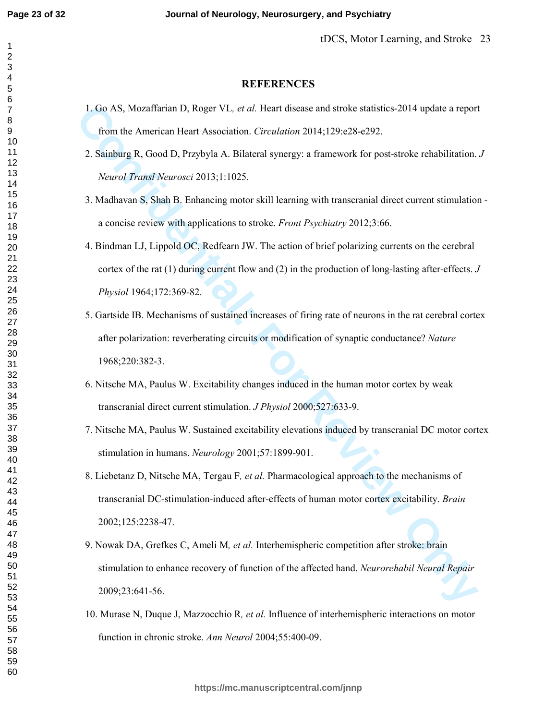## **REFERENCES**

1. Go AS, Mozaffarian D, Roger VL*, et al.* Heart disease and stroke statistics-2014 update a report from the American Heart Association. *Circulation* 2014;129:e28-e292.

## 2. Sainburg R, Good D, Przybyla A. Bilateral synergy: a framework for post-stroke rehabilitation. *J Neurol Transl Neurosci* 2013;1:1025.

- 3. Madhavan S, Shah B. Enhancing motor skill learning with transcranial direct current stimulation a concise review with applications to stroke. *Front Psychiatry* 2012;3:66.
- 4. Bindman LJ, Lippold OC, Redfearn JW. The action of brief polarizing currents on the cerebral cortex of the rat (1) during current flow and (2) in the production of long-lasting after-effects. *J Physiol* 1964;172:369-82.
- **L. Go AS, Mozaffarian D, Roger VL.** *et al.* Heart disease and stocke statistics 2014 update a report from the American Heart Association. Ctreutation 2014,129 e28-292.<br> **2.** Sainburg R, Good D, Przybyła A. Bilateral syn 5. Gartside IB. Mechanisms of sustained increases of firing rate of neurons in the rat cerebral cortex after polarization: reverberating circuits or modification of synaptic conductance? *Nature* 1968;220:382-3.
	- 6. Nitsche MA, Paulus W. Excitability changes induced in the human motor cortex by weak transcranial direct current stimulation. *J Physiol* 2000;527:633-9.
	- 7. Nitsche MA, Paulus W. Sustained excitability elevations induced by transcranial DC motor cortex stimulation in humans. *Neurology* 2001;57:1899-901.
	- 8. Liebetanz D, Nitsche MA, Tergau F*, et al.* Pharmacological approach to the mechanisms of transcranial DC-stimulation-induced after-effects of human motor cortex excitability. *Brain* 2002;125:2238-47.
	- 9. Nowak DA, Grefkes C, Ameli M*, et al.* Interhemispheric competition after stroke: brain stimulation to enhance recovery of function of the affected hand. *Neurorehabil Neural Repair* 2009;23:641-56.
	- 10. Murase N, Duque J, Mazzocchio R*, et al.* Influence of interhemispheric interactions on motor function in chronic stroke. *Ann Neurol* 2004;55:400-09.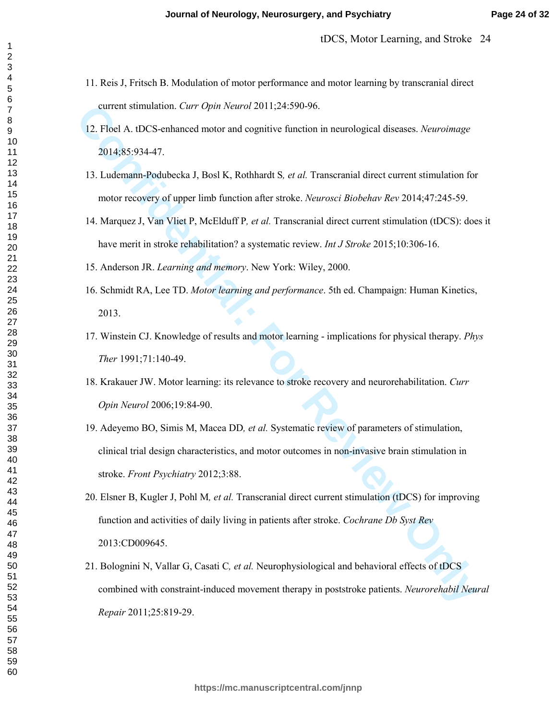- 11. Reis J, Fritsch B. Modulation of motor performance and motor learning by transcranial direct current stimulation. *Curr Opin Neurol* 2011;24:590-96.
- 12. Floel A. tDCS-enhanced motor and cognitive function in neurological diseases. *Neuroimage* 2014;85:934-47.
- 13. Ludemann-Podubecka J, Bosl K, Rothhardt S*, et al.* Transcranial direct current stimulation for motor recovery of upper limb function after stroke. *Neurosci Biobehav Rev* 2014;47:245-59.
- 14. Marquez J, Van Vliet P, McElduff P*, et al.* Transcranial direct current stimulation (tDCS): does it have merit in stroke rehabilitation? a systematic review. *Int J Stroke* 2015;10:306-16.
- 15. Anderson JR. *Learning and memory*. New York: Wiley, 2000.
- 16. Schmidt RA, Lee TD. *Motor learning and performance*. 5th ed. Champaign: Human Kinetics, 2013.
- 17. Winstein CJ. Knowledge of results and motor learning implications for physical therapy. *Phys Ther* 1991;71:140-49.
- 18. Krakauer JW. Motor learning: its relevance to stroke recovery and neurorehabilitation. *Curr Opin Neurol* 2006;19:84-90.
- 19. Adeyemo BO, Simis M, Macea DD*, et al.* Systematic review of parameters of stimulation, clinical trial design characteristics, and motor outcomes in non-invasive brain stimulation in stroke. *Front Psychiatry* 2012;3:88.
- current stimulation. Carr Opin Nearol 2011;24:590-96.<br>
12. Flocl A. dDCS-enhanced motor and eogmitive function in neurological diseases. Nearotingge<br>
2014;85:934-47.<br>
13. Ladermann-Pedahocka J, Rosl K, Rethhardt S, et al. 20. Elsner B, Kugler J, Pohl M*, et al.* Transcranial direct current stimulation (tDCS) for improving function and activities of daily living in patients after stroke. *Cochrane Db Syst Rev* 2013:CD009645.
	- 21. Bolognini N, Vallar G, Casati C*, et al.* Neurophysiological and behavioral effects of tDCS combined with constraint-induced movement therapy in poststroke patients. *Neurorehabil Neural Repair* 2011;25:819-29.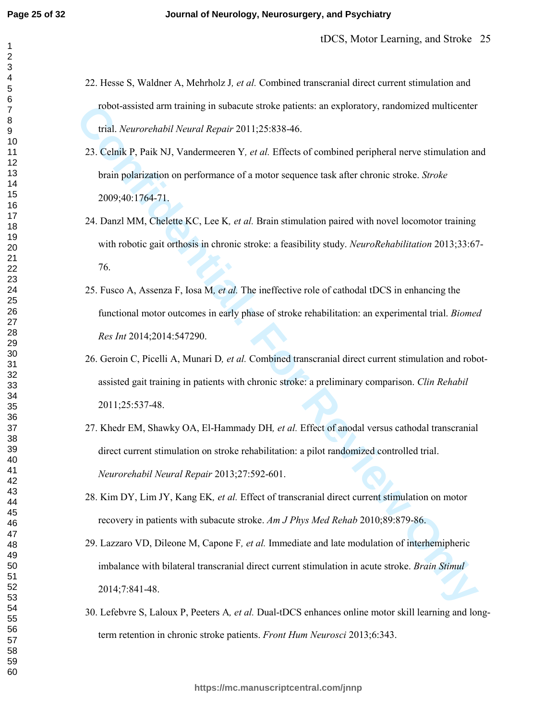- 22. Hesse S, Waldner A, Mehrholz J*, et al.* Combined transcranial direct current stimulation and robot-assisted arm training in subacute stroke patients: an exploratory, randomized multicenter trial. *Neurorehabil Neural Repair* 2011;25:838-46.
- 23. Celnik P, Paik NJ, Vandermeeren Y*, et al.* Effects of combined peripheral nerve stimulation and brain polarization on performance of a motor sequence task after chronic stroke. *Stroke* 2009;40:1764-71.
- 24. Danzl MM, Chelette KC, Lee K*, et al.* Brain stimulation paired with novel locomotor training with robotic gait orthosis in chronic stroke: a feasibility study. *NeuroRehabilitation* 2013;33:67- 76.
- robot-assisted arm training in subsecute stroke patients: an exploratory, randomized multicenter<br>
trial. *Neurorehabil Neural Repair* 2011:25:838-46.<br>
23. Colnik P. Paik NJ. Vandermeeren Y, *et al.* Effects of combined pe 25. Fusco A, Assenza F, Iosa M*, et al.* The ineffective role of cathodal tDCS in enhancing the functional motor outcomes in early phase of stroke rehabilitation: an experimental trial. *Biomed Res Int* 2014;2014:547290.
	- 26. Geroin C, Picelli A, Munari D*, et al.* Combined transcranial direct current stimulation and robotassisted gait training in patients with chronic stroke: a preliminary comparison. *Clin Rehabil* 2011;25:537-48.
	- 27. Khedr EM, Shawky OA, El-Hammady DH*, et al.* Effect of anodal versus cathodal transcranial direct current stimulation on stroke rehabilitation: a pilot randomized controlled trial. *Neurorehabil Neural Repair* 2013;27:592-601.
	- 28. Kim DY, Lim JY, Kang EK*, et al.* Effect of transcranial direct current stimulation on motor recovery in patients with subacute stroke. *Am J Phys Med Rehab* 2010;89:879-86.
	- 29. Lazzaro VD, Dileone M, Capone F*, et al.* Immediate and late modulation of interhemipheric imbalance with bilateral transcranial direct current stimulation in acute stroke. *Brain Stimul* 2014;7:841-48.
	- 30. Lefebvre S, Laloux P, Peeters A*, et al.* Dual-tDCS enhances online motor skill learning and longterm retention in chronic stroke patients. *Front Hum Neurosci* 2013;6:343.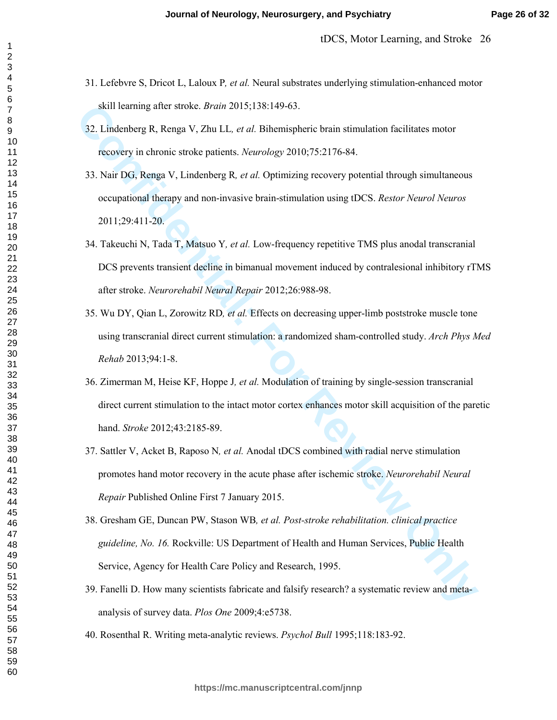- 31. Lefebvre S, Dricot L, Laloux P*, et al.* Neural substrates underlying stimulation-enhanced motor skill learning after stroke. *Brain* 2015;138:149-63.
- 32. Lindenberg R, Renga V, Zhu LL*, et al.* Bihemispheric brain stimulation facilitates motor recovery in chronic stroke patients. *Neurology* 2010;75:2176-84.
- 33. Nair DG, Renga V, Lindenberg R*, et al.* Optimizing recovery potential through simultaneous occupational therapy and non-invasive brain-stimulation using tDCS. *Restor Neurol Neuros* 2011;29:411-20.
- 34. Takeuchi N, Tada T, Matsuo Y*, et al.* Low-frequency repetitive TMS plus anodal transcranial DCS prevents transient decline in bimanual movement induced by contralesional inhibitory rTMS after stroke. *Neurorehabil Neural Repair* 2012;26:988-98.
- 35. Wu DY, Qian L, Zorowitz RD*, et al.* Effects on decreasing upper-limb poststroke muscle tone using transcranial direct current stimulation: a randomized sham-controlled study. *Arch Phys Med Rehab* 2013;94:1-8.
- 36. Zimerman M, Heise KF, Hoppe J*, et al.* Modulation of training by single-session transcranial direct current stimulation to the intact motor cortex enhances motor skill acquisition of the paretic hand. *Stroke* 2012;43:2185-89.
- **Confidential:** Scaliff Partner, *Controlland Method Confidential:* For Review of Review And The Translation Scaliff Partner Concernedictions Alter DG, Renga V, Thustin Her, *Reurology* 2010;75:2176-84.<br>
23. Nair DG, Renga 37. Sattler V, Acket B, Raposo N*, et al.* Anodal tDCS combined with radial nerve stimulation promotes hand motor recovery in the acute phase after ischemic stroke. *Neurorehabil Neural Repair* Published Online First 7 January 2015.
	- 38. Gresham GE, Duncan PW, Stason WB*, et al. Post-stroke rehabilitation. clinical practice guideline, No. 16.* Rockville: US Department of Health and Human Services, Public Health Service, Agency for Health Care Policy and Research, 1995.
	- 39. Fanelli D. How many scientists fabricate and falsify research? a systematic review and metaanalysis of survey data. *Plos One* 2009;4:e5738.
	- 40. Rosenthal R. Writing meta-analytic reviews. *Psychol Bull* 1995;118:183-92.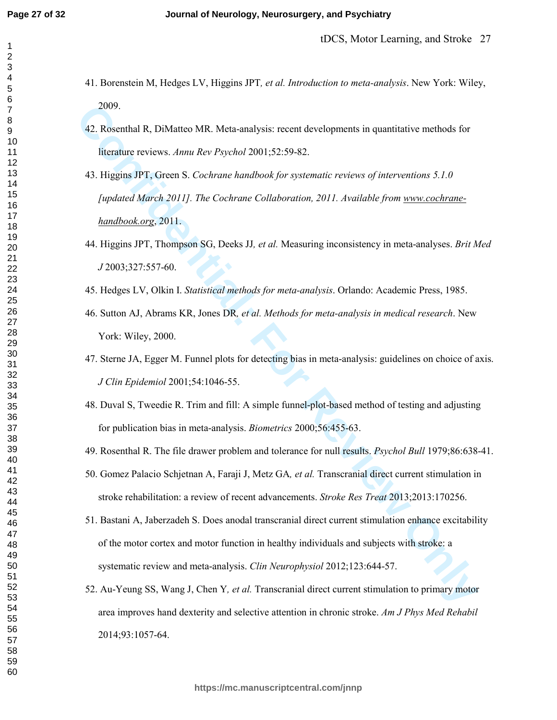- 41. Borenstein M, Hedges LV, Higgins JPT*, et al. Introduction to meta-analysis*. New York: Wiley, 2009.
- 42. Rosenthal R, DiMatteo MR. Meta-analysis: recent developments in quantitative methods for literature reviews. *Annu Rev Psychol* 2001;52:59-82.
- 2009.<br>
2009.<br>
2009.<br>
2009.<br>
2009.<br>
2009.<br>
2009.<br>
2010.<br>
2010.<br>
2010.52.59-82.<br>
2010.52.59-82.<br>
2010.52.59-82.<br>
2010.52.59-82.<br>
2010.72.79-82.<br>
2010.762.79.79.<br>
2010.762.79.79.79. The Cochrane Collaboration, 2011. Available 43. Higgins JPT, Green S. *Cochrane handbook for systematic reviews of interventions 5.1.0 [updated March 2011]. The Cochrane Collaboration, 2011. Available from www.cochranehandbook.org*, 2011.
	- 44. Higgins JPT, Thompson SG, Deeks JJ*, et al.* Measuring inconsistency in meta-analyses. *Brit Med J* 2003;327:557-60.
	- 45. Hedges LV, Olkin I. *Statistical methods for meta-analysis*. Orlando: Academic Press, 1985.
	- 46. Sutton AJ, Abrams KR, Jones DR*, et al. Methods for meta-analysis in medical research*. New York: Wiley, 2000.
	- 47. Sterne JA, Egger M. Funnel plots for detecting bias in meta-analysis: guidelines on choice of axis. *J Clin Epidemiol* 2001;54:1046-55.
	- 48. Duval S, Tweedie R. Trim and fill: A simple funnel-plot-based method of testing and adjusting for publication bias in meta-analysis. *Biometrics* 2000;56:455-63.
	- 49. Rosenthal R. The file drawer problem and tolerance for null results. *Psychol Bull* 1979;86:638-41.
	- 50. Gomez Palacio Schjetnan A, Faraji J, Metz GA*, et al.* Transcranial direct current stimulation in stroke rehabilitation: a review of recent advancements. *Stroke Res Treat* 2013;2013:170256.
	- 51. Bastani A, Jaberzadeh S. Does anodal transcranial direct current stimulation enhance excitability of the motor cortex and motor function in healthy individuals and subjects with stroke: a systematic review and meta-analysis. *Clin Neurophysiol* 2012;123:644-57.
	- 52. Au-Yeung SS, Wang J, Chen Y*, et al.* Transcranial direct current stimulation to primary motor area improves hand dexterity and selective attention in chronic stroke. *Am J Phys Med Rehabil* 2014;93:1057-64.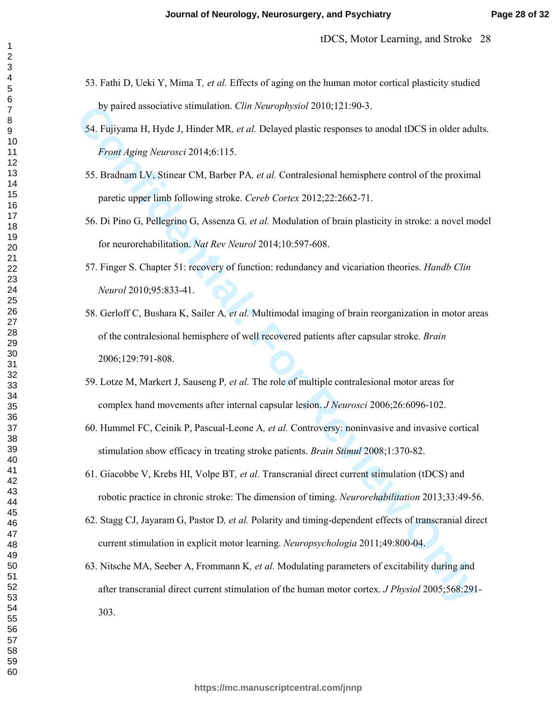- 53. Fathi D, Ueki Y, Mima T*, et al.* Effects of aging on the human motor cortical plasticity studied by paired associative stimulation. *Clin Neurophysiol* 2010;121:90-3.
- 54. Fujiyama H, Hyde J, Hinder MR*, et al.* Delayed plastic responses to anodal tDCS in older adults. *Front Aging Neurosci* 2014;6:115.
- 55. Bradnam LV, Stinear CM, Barber PA*, et al.* Contralesional hemisphere control of the proximal paretic upper limb following stroke. *Cereb Cortex* 2012;22:2662-71.
- 56. Di Pino G, Pellegrino G, Assenza G*, et al.* Modulation of brain plasticity in stroke: a novel model for neurorehabilitation. *Nat Rev Neurol* 2014;10:597-608.
- 57. Finger S. Chapter 51: recovery of function: redundancy and vicariation theories. *Handb Clin Neurol* 2010;95:833-41.
- by paired associative stimulation. *Clin Neurophysiol* 2010;121:90-3.<br>
54. Fujiyama H, Hyde J, Hinder MR, *et al.* Delayed plastic responses to anodal 4DCS in older adul<br> *From Aging Neurosci* 2014;6:115.<br>
55. Brudhum LV, 58. Gerloff C, Bushara K, Sailer A*, et al.* Multimodal imaging of brain reorganization in motor areas of the contralesional hemisphere of well recovered patients after capsular stroke. *Brain* 2006;129:791-808.
	- 59. Lotze M, Markert J, Sauseng P*, et al.* The role of multiple contralesional motor areas for complex hand movements after internal capsular lesion. *J Neurosci* 2006;26:6096-102.
	- 60. Hummel FC, Ceinik P, Pascual-Leone A*, et al.* Controversy: noninvasive and invasive cortical stimulation show efficacy in treating stroke patients. *Brain Stimul* 2008;1:370-82.
	- 61. Giacobbe V, Krebs HI, Volpe BT*, et al.* Transcranial direct current stimulation (tDCS) and robotic practice in chronic stroke: The dimension of timing. *Neurorehabilitation* 2013;33:49-56.
	- 62. Stagg CJ, Jayaram G, Pastor D*, et al.* Polarity and timing-dependent effects of transcranial direct current stimulation in explicit motor learning. *Neuropsychologia* 2011;49:800-04.
	- 63. Nitsche MA, Seeber A, Frommann K*, et al.* Modulating parameters of excitability during and after transcranial direct current stimulation of the human motor cortex. *J Physiol* 2005;568:291- 303.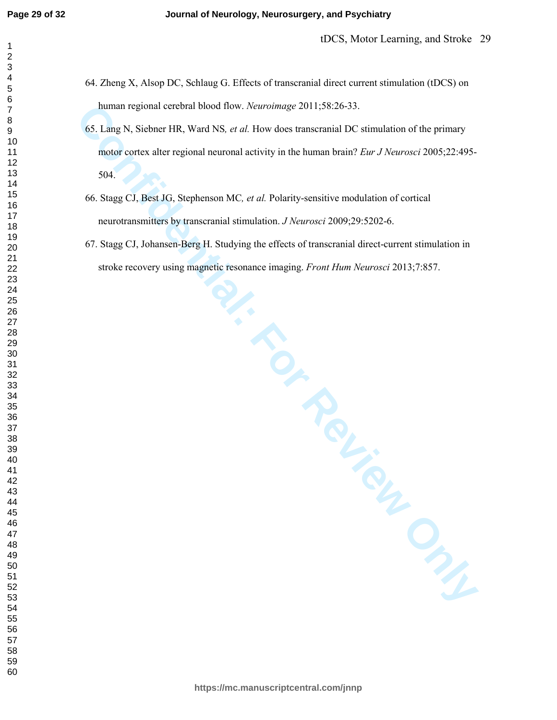- 64. Zheng X, Alsop DC, Schlaug G. Effects of transcranial direct current stimulation (tDCS) on human regional cerebral blood flow. *Neuroimage* 2011;58:26-33.
- human regional cerebral blood flow. *Neuroinnage* 2011:58:26-33.<br>
65. I ang N, Siehner FIR, Ward NS, *et al.* How does transcensive IDC stimulation of the primary<br>
motor cortex alter regional neuronal activity in the human 65. Lang N, Siebner HR, Ward NS*, et al.* How does transcranial DC stimulation of the primary motor cortex alter regional neuronal activity in the human brain? *Eur J Neurosci* 2005;22:495- 504.
	- 66. Stagg CJ, Best JG, Stephenson MC*, et al.* Polarity-sensitive modulation of cortical neurotransmitters by transcranial stimulation. *J Neurosci* 2009;29:5202-6.
	- 67. Stagg CJ, Johansen-Berg H. Studying the effects of transcranial direct-current stimulation in stroke recovery using magnetic resonance imaging. *Front Hum Neurosci* 2013;7:857.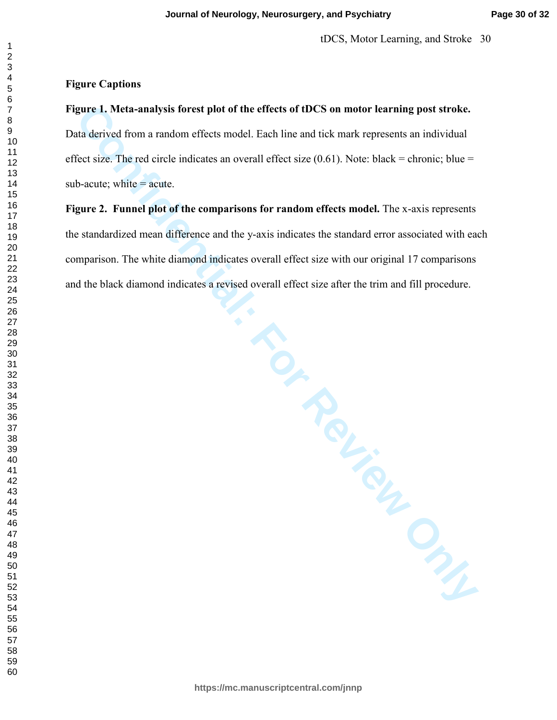## **Figure Captions**

## **Figure 1. Meta-analysis forest plot of the effects of tDCS on motor learning post stroke.**

Data derived from a random effects model. Each line and tick mark represents an individual effect size. The red circle indicates an overall effect size  $(0.61)$ . Note: black = chronic; blue = sub-acute; white  $=$  acute.

# **Figure 2. Funnel plot of the comparisons for random effects model.** The x-axis represents the standardized mean difference and the y-axis indicates the standard error associated with each comparison. The white diamond indicates overall effect size with our original 17 comparisons and the black diamond indicates a revised overall effect size after the trim and fill procedure.

gure 1. Meta-analysis forest plot of the effects of tDCS on motor learning post stroke.<br>
In derived from a random effects model. Each line and tick mark represents an individual<br>
lect size. The red circle indicates an over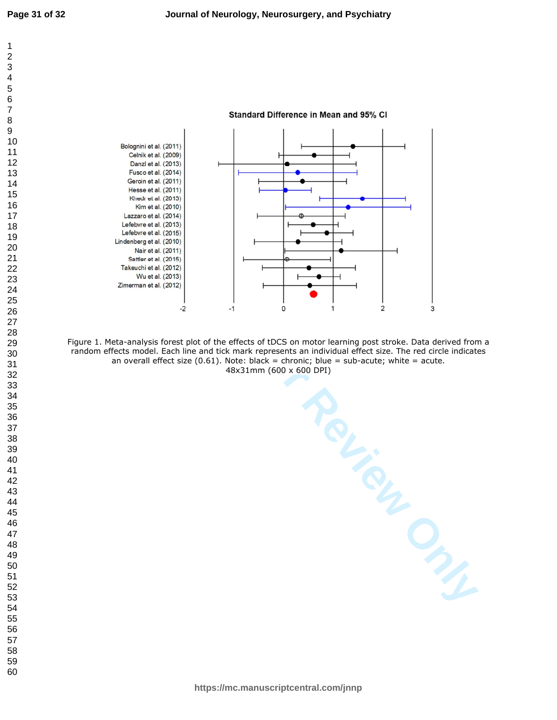

Figure 1. Meta-analysis forest plot of the effects of tDCS on motor learning post stroke. Data derived from a random effects model. Each line and tick mark represents an individual effect size. The red circle indicates an overall effect size  $(0.61)$ . Note: black = chronic; blue = sub-acute; white = acute. 48x31mm (600 x 600 DPI)

**https://mc.manuscriptcentral.com/jnnp**